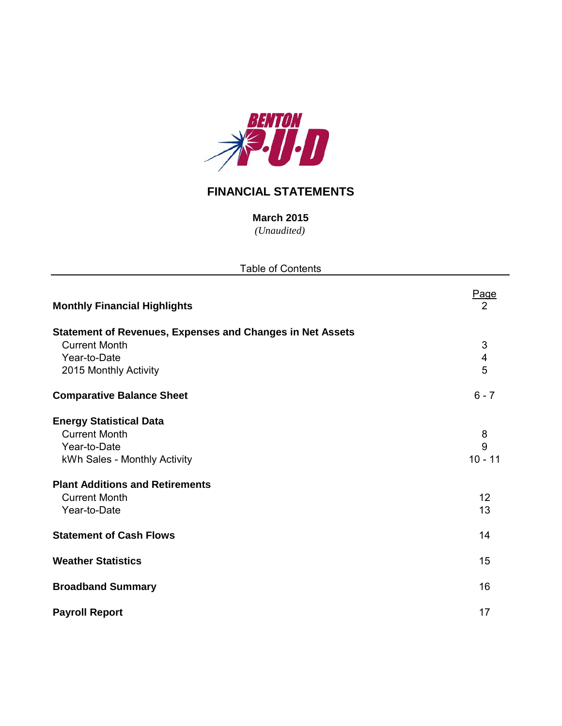

# **FINANCIAL STATEMENTS**

*(Unaudited)* **March 2015**

| <b>Table of Contents</b>                                         |                               |  |  |  |  |  |  |
|------------------------------------------------------------------|-------------------------------|--|--|--|--|--|--|
| <b>Monthly Financial Highlights</b>                              | <u>Page</u><br>$\overline{2}$ |  |  |  |  |  |  |
| <b>Statement of Revenues, Expenses and Changes in Net Assets</b> |                               |  |  |  |  |  |  |
| <b>Current Month</b>                                             | 3                             |  |  |  |  |  |  |
| Year-to-Date                                                     | $\overline{\mathbf{4}}$       |  |  |  |  |  |  |
| 2015 Monthly Activity                                            | 5                             |  |  |  |  |  |  |
| <b>Comparative Balance Sheet</b>                                 | $6 - 7$                       |  |  |  |  |  |  |
| <b>Energy Statistical Data</b>                                   |                               |  |  |  |  |  |  |
| <b>Current Month</b>                                             | 8                             |  |  |  |  |  |  |
| Year-to-Date                                                     | 9                             |  |  |  |  |  |  |
| kWh Sales - Monthly Activity                                     | $10 - 11$                     |  |  |  |  |  |  |
| <b>Plant Additions and Retirements</b>                           |                               |  |  |  |  |  |  |
| <b>Current Month</b>                                             | 12                            |  |  |  |  |  |  |
| Year-to-Date                                                     | 13                            |  |  |  |  |  |  |
| <b>Statement of Cash Flows</b>                                   | 14                            |  |  |  |  |  |  |
| <b>Weather Statistics</b>                                        | 15                            |  |  |  |  |  |  |
| <b>Broadband Summary</b>                                         | 16                            |  |  |  |  |  |  |
| <b>Payroll Report</b>                                            | 17                            |  |  |  |  |  |  |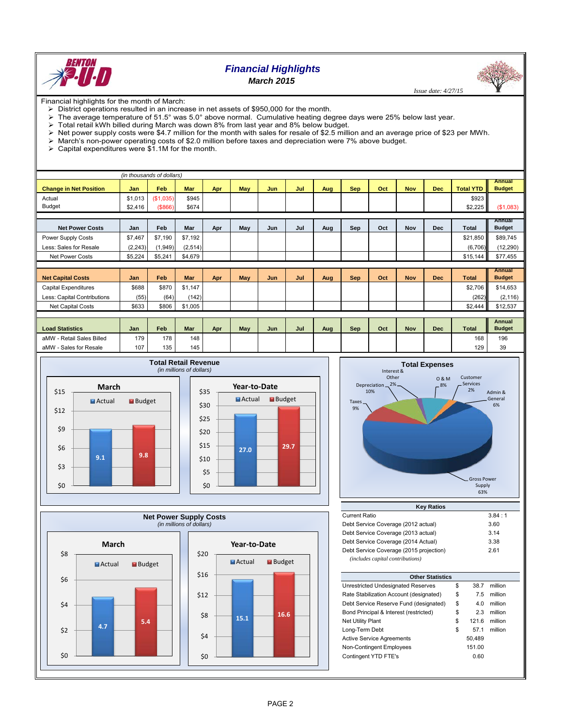

# *Financial Highlights March 2015*

 *Issue date: 4/27/15*

Financial highlights for the month of March:

- $\triangleright$  District operations resulted in an increase in net assets of \$950,000 for the month.
- The average temperature of 51.5° was 5.0° above normal. Cumulative heating degree days were 25% below last year.
- 
- $\triangleright$  Total retail kWh billed during March was down 8% from last year and 8% below budget.<br>  $\triangleright$  Net power supply costs were \$4.7 million for the month with sales for resale of \$2.5 million Net power supply costs were \$4.7 million for the month with sales for resale of \$2.5 million and an average price of \$23 per MWh.
- March's non-power operating costs of \$2.0 million before taxes and depreciation were 7% above budget. > March's non-power operating costs of vector matches <br>
→ Capital expenditures were \$1.1M for the month.
- 

| (in thousands of dollars)     |            |           |            |     |     |            |     |     |            |     |            |            |                  |                                |
|-------------------------------|------------|-----------|------------|-----|-----|------------|-----|-----|------------|-----|------------|------------|------------------|--------------------------------|
| <b>Change in Net Position</b> | <b>Jan</b> | Feb       | Mar        | Apr | May | <b>Jun</b> | Jul | Aug | <b>Sep</b> | Oct | <b>Nov</b> | <b>Dec</b> | <b>Total YTD</b> | <b>Annual</b><br><b>Budget</b> |
| Actual                        | \$1,013    | (\$1,035) | \$945      |     |     |            |     |     |            |     |            |            | \$923            |                                |
| <b>Budget</b>                 | \$2,416    | (8866)    | \$674      |     |     |            |     |     |            |     |            |            | \$2,225          | (\$1,083)                      |
|                               |            |           |            |     |     |            |     |     |            |     |            |            |                  |                                |
| <b>Net Power Costs</b>        | Jan        | Feb       | Mar        | Apr | May | Jun        | Jul | Aug | Sep        | Oct | Nov        | <b>Dec</b> | <b>Total</b>     | Annual<br><b>Budget</b>        |
| Power Supply Costs            | \$7,467    | \$7,190   | \$7,192    |     |     |            |     |     |            |     |            |            | \$21,850         | \$89,745                       |
| Less: Sales for Resale        | (2, 243)   | (1,949)   | (2, 514)   |     |     |            |     |     |            |     |            |            | (6,706)          | (12, 290)                      |
| <b>Net Power Costs</b>        | \$5,224    | \$5,241   | \$4,679    |     |     |            |     |     |            |     |            |            | \$15,144         | \$77,455                       |
|                               |            |           |            |     |     |            |     |     |            |     |            |            |                  |                                |
| <b>Net Capital Costs</b>      | Jan        | Feb       | <b>Mar</b> | Apr | May | Jun        | Jul | Aug | <b>Sep</b> | Oct | <b>Nov</b> | <b>Dec</b> | <b>Total</b>     | <b>Annual</b><br><b>Budget</b> |
| Capital Expenditures          | \$688      | \$870     | \$1,147    |     |     |            |     |     |            |     |            |            | \$2,706          | \$14,653                       |
| Less: Capital Contributions   | (55)       | (64)      | (142)      |     |     |            |     |     |            |     |            |            | (262)            | (2, 116)                       |
| <b>Net Capital Costs</b>      | \$633      | \$806     | \$1,005    |     |     |            |     |     |            |     |            |            | \$2,444          | \$12,537                       |
|                               |            |           |            |     |     |            |     |     |            |     |            |            |                  |                                |
| <b>Load Statistics</b>        | Jan        | Feb       | <b>Mar</b> | Apr | May | Jun        | Jul | Aug | Sep        | Oct | <b>Nov</b> | <b>Dec</b> | <b>Total</b>     | Annual<br><b>Budget</b>        |
| aMW - Retail Sales Billed     | 179        | 178       | 148        |     |     |            |     |     |            |     |            |            | 168              | 196                            |
| aMW - Sales for Resale        | 107        | 135       | 145        |     |     |            |     |     |            |     |            |            | 129              | 39                             |









| <b>Current Ratio</b>                    | 3.84:1 |
|-----------------------------------------|--------|
| Debt Service Coverage (2012 actual)     | 3.60   |
| Debt Service Coverage (2013 actual)     | 3.14   |
| Debt Service Coverage (2014 Actual)     | 3.38   |
| Debt Service Coverage (2015 projection) | 2.61   |
| (includes capital contributions)        |        |

| <b>Other Statistics</b>                 |    |        |         |  |  |  |  |  |  |  |
|-----------------------------------------|----|--------|---------|--|--|--|--|--|--|--|
| Unrestricted Undesignated Reserves      | \$ | 38.7   | million |  |  |  |  |  |  |  |
| Rate Stabilization Account (designated) | \$ | 7.5    | million |  |  |  |  |  |  |  |
| Debt Service Reserve Fund (designated)  | \$ | 4.0    | million |  |  |  |  |  |  |  |
| Bond Principal & Interest (restricted)  | \$ | 2.3    | million |  |  |  |  |  |  |  |
| <b>Net Utility Plant</b>                | \$ | 121.6  | million |  |  |  |  |  |  |  |
| Long-Term Debt                          | \$ | 57.1   | million |  |  |  |  |  |  |  |
| <b>Active Service Agreements</b>        |    | 50,489 |         |  |  |  |  |  |  |  |
| Non-Contingent Employees                |    | 151.00 |         |  |  |  |  |  |  |  |
| Contingent YTD FTE's                    |    | 0.60   |         |  |  |  |  |  |  |  |
|                                         |    |        |         |  |  |  |  |  |  |  |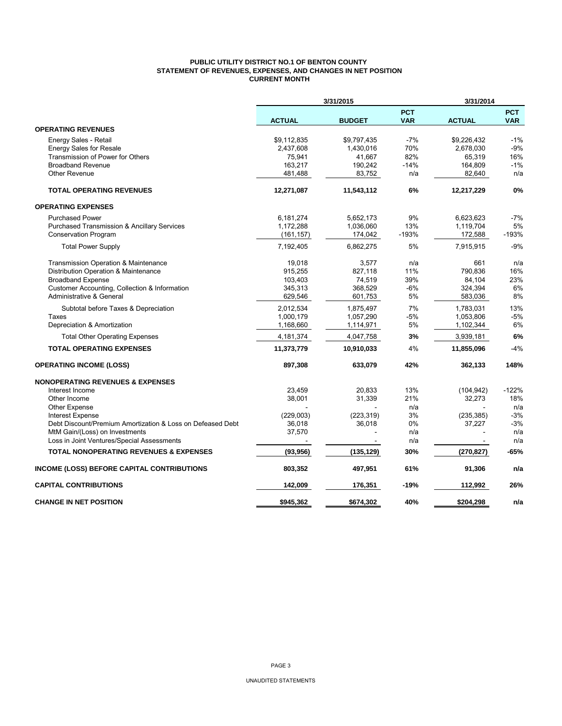## **PUBLIC UTILITY DISTRICT NO.1 OF BENTON COUNTY STATEMENT OF REVENUES, EXPENSES, AND CHANGES IN NET POSITION CURRENT MONTH**

|                                                            |               | 3/31/2015     |                          | 3/31/2014     |                          |  |
|------------------------------------------------------------|---------------|---------------|--------------------------|---------------|--------------------------|--|
|                                                            | <b>ACTUAL</b> | <b>BUDGET</b> | <b>PCT</b><br><b>VAR</b> | <b>ACTUAL</b> | <b>PCT</b><br><b>VAR</b> |  |
| <b>OPERATING REVENUES</b>                                  |               |               |                          |               |                          |  |
| Energy Sales - Retail                                      | \$9,112,835   | \$9,797,435   | $-7%$                    | \$9,226,432   | $-1%$                    |  |
| <b>Energy Sales for Resale</b>                             | 2,437,608     | 1,430,016     | 70%                      | 2,678,030     | $-9%$                    |  |
| Transmission of Power for Others                           | 75,941        | 41,667        | 82%                      | 65,319        | 16%                      |  |
| <b>Broadband Revenue</b>                                   | 163,217       | 190,242       | $-14%$                   | 164,809       | $-1%$                    |  |
| <b>Other Revenue</b>                                       | 481,488       | 83,752        | n/a                      | 82,640        | n/a                      |  |
| <b>TOTAL OPERATING REVENUES</b>                            | 12,271,087    | 11,543,112    | 6%                       | 12,217,229    | 0%                       |  |
| <b>OPERATING EXPENSES</b>                                  |               |               |                          |               |                          |  |
| <b>Purchased Power</b>                                     | 6,181,274     | 5,652,173     | 9%                       | 6,623,623     | -7%                      |  |
| <b>Purchased Transmission &amp; Ancillary Services</b>     | 1,172,288     | 1,036,060     | 13%                      | 1,119,704     | 5%                       |  |
| <b>Conservation Program</b>                                | (161, 157)    | 174,042       | $-193%$                  | 172,588       | $-193%$                  |  |
| <b>Total Power Supply</b>                                  | 7,192,405     | 6,862,275     | 5%                       | 7,915,915     | $-9%$                    |  |
| <b>Transmission Operation &amp; Maintenance</b>            | 19,018        | 3,577         | n/a                      | 661           | n/a                      |  |
| Distribution Operation & Maintenance                       | 915,255       | 827,118       | 11%                      | 790,836       | 16%                      |  |
| <b>Broadband Expense</b>                                   | 103,403       | 74,519        | 39%                      | 84,104        | 23%                      |  |
| Customer Accounting, Collection & Information              | 345,313       | 368,529       | $-6%$                    | 324,394       | 6%                       |  |
| Administrative & General                                   | 629,546       | 601,753       | 5%                       | 583,036       | 8%                       |  |
| Subtotal before Taxes & Depreciation                       | 2,012,534     | 1,875,497     | 7%                       | 1,783,031     | 13%                      |  |
| Taxes                                                      | 1,000,179     | 1,057,290     | -5%                      | 1,053,806     | $-5%$                    |  |
| Depreciation & Amortization                                | 1,168,660     | 1,114,971     | 5%                       | 1,102,344     | 6%                       |  |
| <b>Total Other Operating Expenses</b>                      | 4,181,374     | 4,047,758     | 3%                       | 3,939,181     | 6%                       |  |
| <b>TOTAL OPERATING EXPENSES</b>                            | 11,373,779    | 10,910,033    | 4%                       | 11,855,096    | $-4%$                    |  |
| <b>OPERATING INCOME (LOSS)</b>                             | 897,308       | 633,079       | 42%                      | 362,133       | 148%                     |  |
| <b>NONOPERATING REVENUES &amp; EXPENSES</b>                |               |               |                          |               |                          |  |
| Interest Income                                            | 23,459        | 20,833        | 13%                      | (104, 942)    | $-122%$                  |  |
| Other Income                                               | 38,001        | 31,339        | 21%                      | 32,273        | 18%                      |  |
| <b>Other Expense</b>                                       |               |               | n/a                      |               | n/a                      |  |
| <b>Interest Expense</b>                                    | (229,003)     | (223, 319)    | 3%                       | (235, 385)    | $-3%$                    |  |
| Debt Discount/Premium Amortization & Loss on Defeased Debt | 36,018        | 36,018        | 0%                       | 37,227        | $-3%$                    |  |
| MtM Gain/(Loss) on Investments                             | 37,570        |               | n/a                      |               | n/a                      |  |
| Loss in Joint Ventures/Special Assessments                 |               |               | n/a                      |               | n/a                      |  |
| <b>TOTAL NONOPERATING REVENUES &amp; EXPENSES</b>          | (93, 956)     | (135, 129)    | 30%                      | (270, 827)    | $-65%$                   |  |
| INCOME (LOSS) BEFORE CAPITAL CONTRIBUTIONS                 | 803,352       | 497,951       | 61%                      | 91,306        | n/a                      |  |
| <b>CAPITAL CONTRIBUTIONS</b>                               | 142,009       | 176,351       | -19%                     | 112,992       | 26%                      |  |
| <b>CHANGE IN NET POSITION</b>                              | \$945,362     | \$674,302     | 40%                      | \$204,298     | n/a                      |  |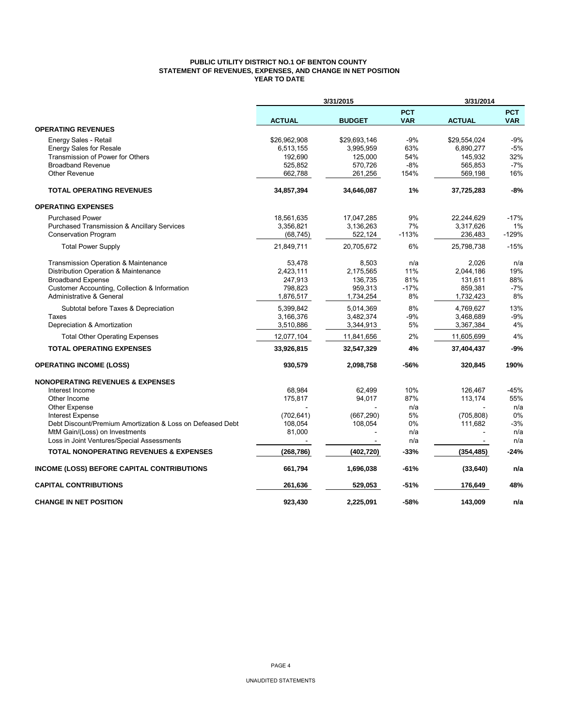## **PUBLIC UTILITY DISTRICT NO.1 OF BENTON COUNTY STATEMENT OF REVENUES, EXPENSES, AND CHANGE IN NET POSITION YEAR TO DATE**

|                                                                                              |                   | 3/31/2015     |                          | 3/31/2014     |                          |
|----------------------------------------------------------------------------------------------|-------------------|---------------|--------------------------|---------------|--------------------------|
|                                                                                              | <b>ACTUAL</b>     | <b>BUDGET</b> | <b>PCT</b><br><b>VAR</b> | <b>ACTUAL</b> | <b>PCT</b><br><b>VAR</b> |
| <b>OPERATING REVENUES</b>                                                                    |                   |               |                          |               |                          |
| Energy Sales - Retail                                                                        | \$26,962,908      | \$29,693,146  | $-9%$                    | \$29,554,024  | $-9%$                    |
| <b>Energy Sales for Resale</b>                                                               | 6,513,155         | 3,995,959     | 63%                      | 6,890,277     | $-5%$                    |
| Transmission of Power for Others                                                             | 192,690           | 125,000       | 54%                      | 145,932       | 32%                      |
| <b>Broadband Revenue</b>                                                                     | 525,852           | 570,726       | $-8%$                    | 565,853       | $-7%$                    |
| Other Revenue                                                                                | 662,788           | 261,256       | 154%                     | 569,198       | 16%                      |
| <b>TOTAL OPERATING REVENUES</b>                                                              | 34,857,394        | 34,646,087    | 1%                       | 37,725,283    | $-8%$                    |
| <b>OPERATING EXPENSES</b>                                                                    |                   |               |                          |               |                          |
| <b>Purchased Power</b>                                                                       | 18,561,635        | 17,047,285    | 9%                       | 22,244,629    | $-17%$                   |
| <b>Purchased Transmission &amp; Ancillary Services</b>                                       | 3,356,821         | 3,136,263     | 7%                       | 3,317,626     | 1%                       |
| <b>Conservation Program</b>                                                                  | (68, 745)         | 522,124       | $-113%$                  | 236,483       | $-129%$                  |
| <b>Total Power Supply</b>                                                                    | 21,849,711        | 20,705,672    | 6%                       | 25,798,738    | $-15%$                   |
| Transmission Operation & Maintenance                                                         | 53,478            | 8,503         | n/a                      | 2,026         | n/a                      |
| Distribution Operation & Maintenance                                                         | 2,423,111         | 2,175,565     | 11%                      | 2,044,186     | 19%                      |
| <b>Broadband Expense</b>                                                                     | 247,913           | 136,735       | 81%                      | 131,611       | 88%                      |
| Customer Accounting, Collection & Information                                                | 798,823           | 959,313       | $-17%$                   | 859,381       | $-7%$                    |
| Administrative & General                                                                     | 1,876,517         | 1,734,254     | 8%                       | 1,732,423     | 8%                       |
| Subtotal before Taxes & Depreciation                                                         | 5,399,842         | 5,014,369     | 8%                       | 4,769,627     | 13%                      |
| Taxes                                                                                        | 3,166,376         | 3,482,374     | $-9%$                    | 3,468,689     | $-9%$                    |
| Depreciation & Amortization                                                                  | 3,510,886         | 3,344,913     | 5%                       | 3,367,384     | 4%                       |
| <b>Total Other Operating Expenses</b>                                                        | 12,077,104        | 11,841,656    | 2%                       | 11,605,699    | 4%                       |
| <b>TOTAL OPERATING EXPENSES</b>                                                              | 33,926,815        | 32,547,329    | 4%                       | 37,404,437    | -9%                      |
| <b>OPERATING INCOME (LOSS)</b>                                                               | 930,579           | 2,098,758     | -56%                     | 320,845       | 190%                     |
| <b>NONOPERATING REVENUES &amp; EXPENSES</b>                                                  |                   |               |                          |               |                          |
| Interest Income                                                                              | 68,984            | 62.499        | 10%                      | 126,467       | -45%                     |
| Other Income                                                                                 | 175,817           | 94,017        | 87%                      | 113,174       | 55%                      |
| <b>Other Expense</b>                                                                         |                   |               | n/a                      |               | n/a                      |
| <b>Interest Expense</b>                                                                      | (702, 641)        | (667, 290)    | 5%                       | (705, 808)    | 0%                       |
| Debt Discount/Premium Amortization & Loss on Defeased Debt<br>MtM Gain/(Loss) on Investments | 108,054<br>81,000 | 108,054       | 0%<br>n/a                | 111,682       | $-3%$<br>n/a             |
| Loss in Joint Ventures/Special Assessments                                                   |                   |               | n/a                      |               | n/a                      |
|                                                                                              |                   |               |                          |               |                          |
| <b>TOTAL NONOPERATING REVENUES &amp; EXPENSES</b>                                            | (268, 786)        | (402, 720)    | -33%                     | (354, 485)    | $-24%$                   |
| INCOME (LOSS) BEFORE CAPITAL CONTRIBUTIONS                                                   | 661,794           | 1,696,038     | -61%                     | (33, 640)     | n/a                      |
| <b>CAPITAL CONTRIBUTIONS</b>                                                                 | 261,636           | 529,053       | -51%                     | 176,649       | 48%                      |
| <b>CHANGE IN NET POSITION</b>                                                                | 923,430           | 2,225,091     | $-58%$                   | 143,009       | n/a                      |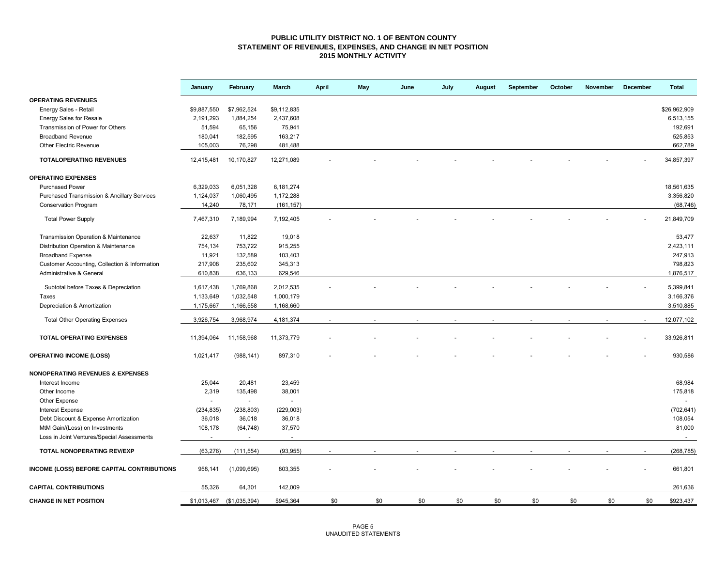### **PUBLIC UTILITY DISTRICT NO. 1 OF BENTON COUNTY STATEMENT OF REVENUES, EXPENSES, AND CHANGE IN NET POSITION 2015 MONTHLY ACTIVITY**

|                                                        | January     | February                  | March       | <b>April</b> | May | June | July | August | September | October | November | December | <b>Total</b> |
|--------------------------------------------------------|-------------|---------------------------|-------------|--------------|-----|------|------|--------|-----------|---------|----------|----------|--------------|
| <b>OPERATING REVENUES</b>                              |             |                           |             |              |     |      |      |        |           |         |          |          |              |
| Energy Sales - Retail                                  | \$9,887,550 | \$7,962,524               | \$9,112,835 |              |     |      |      |        |           |         |          |          | \$26,962,909 |
| <b>Energy Sales for Resale</b>                         | 2,191,293   | 1,884,254                 | 2,437,608   |              |     |      |      |        |           |         |          |          | 6,513,155    |
| Transmission of Power for Others                       | 51,594      | 65,156                    | 75,941      |              |     |      |      |        |           |         |          |          | 192,691      |
| <b>Broadband Revenue</b>                               | 180,041     | 182,595                   | 163,217     |              |     |      |      |        |           |         |          |          | 525,853      |
| Other Electric Revenue                                 | 105,003     | 76,298                    | 481,488     |              |     |      |      |        |           |         |          |          | 662,789      |
| <b>TOTALOPERATING REVENUES</b>                         | 12,415,481  | 10,170,827                | 12,271,089  |              |     |      |      |        |           |         |          |          | 34,857,397   |
| <b>OPERATING EXPENSES</b>                              |             |                           |             |              |     |      |      |        |           |         |          |          |              |
| <b>Purchased Power</b>                                 | 6,329,033   | 6,051,328                 | 6,181,274   |              |     |      |      |        |           |         |          |          | 18,561,635   |
| <b>Purchased Transmission &amp; Ancillary Services</b> | 1,124,037   | 1,060,495                 | 1,172,288   |              |     |      |      |        |           |         |          |          | 3,356,820    |
| <b>Conservation Program</b>                            | 14,240      | 78,171                    | (161, 157)  |              |     |      |      |        |           |         |          |          | (68, 746)    |
| <b>Total Power Supply</b>                              | 7,467,310   | 7,189,994                 | 7,192,405   |              |     |      |      |        |           |         |          |          | 21,849,709   |
| Transmission Operation & Maintenance                   | 22,637      | 11,822                    | 19,018      |              |     |      |      |        |           |         |          |          | 53,477       |
| Distribution Operation & Maintenance                   | 754,134     | 753,722                   | 915,255     |              |     |      |      |        |           |         |          |          | 2,423,111    |
| <b>Broadband Expense</b>                               | 11,921      | 132,589                   | 103,403     |              |     |      |      |        |           |         |          |          | 247,913      |
| Customer Accounting, Collection & Information          | 217,908     | 235,602                   | 345,313     |              |     |      |      |        |           |         |          |          | 798,823      |
| Administrative & General                               | 610,838     | 636,133                   | 629,546     |              |     |      |      |        |           |         |          |          | 1,876,517    |
|                                                        |             |                           |             |              |     |      |      |        |           |         |          |          |              |
| Subtotal before Taxes & Depreciation                   | 1,617,438   | 1,769,868                 | 2,012,535   |              |     |      |      |        |           |         |          |          | 5,399,841    |
| Taxes                                                  | 1,133,649   | 1,032,548                 | 1,000,179   |              |     |      |      |        |           |         |          |          | 3,166,376    |
| Depreciation & Amortization                            | 1,175,667   | 1,166,558                 | 1,168,660   |              |     |      |      |        |           |         |          |          | 3,510,885    |
| <b>Total Other Operating Expenses</b>                  | 3,926,754   | 3,968,974                 | 4,181,374   |              |     |      |      |        |           |         |          |          | 12,077,102   |
| <b>TOTAL OPERATING EXPENSES</b>                        | 11,394,064  | 11,158,968                | 11,373,779  |              |     |      |      |        |           |         |          |          | 33,926,811   |
| <b>OPERATING INCOME (LOSS)</b>                         | 1,021,417   | (988, 141)                | 897,310     |              |     |      |      |        |           |         |          |          | 930,586      |
| <b>NONOPERATING REVENUES &amp; EXPENSES</b>            |             |                           |             |              |     |      |      |        |           |         |          |          |              |
| Interest Income                                        | 25,044      | 20,481                    | 23,459      |              |     |      |      |        |           |         |          |          | 68,984       |
| Other Income                                           | 2,319       | 135,498                   | 38,001      |              |     |      |      |        |           |         |          |          | 175,818      |
| Other Expense                                          | $\sim$      | $\sim$                    | $\bar{z}$   |              |     |      |      |        |           |         |          |          | $\sim$       |
| <b>Interest Expense</b>                                | (234, 835)  | (238, 803)                | (229,003)   |              |     |      |      |        |           |         |          |          | (702, 641)   |
| Debt Discount & Expense Amortization                   | 36,018      | 36,018                    | 36,018      |              |     |      |      |        |           |         |          |          | 108,054      |
| MtM Gain/(Loss) on Investments                         | 108,178     | (64, 748)                 | 37,570      |              |     |      |      |        |           |         |          |          | 81,000       |
| Loss in Joint Ventures/Special Assessments             | $\sim$      | $\sim$                    | $\sim$      |              |     |      |      |        |           |         |          |          | $\sim$       |
| TOTAL NONOPERATING REV/EXP                             | (63, 276)   | (111, 554)                | (93, 955)   |              |     |      |      |        |           |         |          |          | (268, 785)   |
| INCOME (LOSS) BEFORE CAPITAL CONTRIBUTIONS             | 958,141     | (1,099,695)               | 803,355     |              |     |      |      |        |           |         |          |          | 661,801      |
| <b>CAPITAL CONTRIBUTIONS</b>                           | 55,326      | 64,301                    | 142,009     |              |     |      |      |        |           |         |          |          | 261,636      |
| <b>CHANGE IN NET POSITION</b>                          |             | \$1,013,467 (\$1,035,394) | \$945,364   | \$0          | \$0 | \$0  | \$0  | \$0    | \$0       | \$0     | \$0      | \$0      | \$923,437    |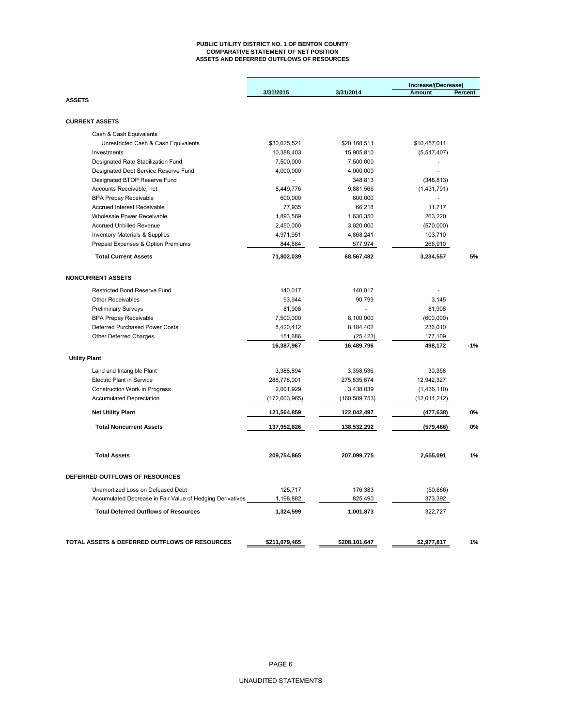#### **PUBLIC UTILITY DISTRICT NO. 1 OF BENTON COUNTY COMPARATIVE STATEMENT OF NET POSITION ASSETS AND DEFERRED OUTFLOWS OF RESOURCES**

|                                                           |                 |                 | Increase/(Decrease) |         |
|-----------------------------------------------------------|-----------------|-----------------|---------------------|---------|
|                                                           | 3/31/2015       | 3/31/2014       | Amount              | Percent |
| <b>ASSETS</b>                                             |                 |                 |                     |         |
| <b>CURRENT ASSETS</b>                                     |                 |                 |                     |         |
| Cash & Cash Equivalents                                   |                 |                 |                     |         |
| Unrestricted Cash & Cash Equivalents                      | \$30,625,521    | \$20,168,511    | \$10,457,011        |         |
| Investments                                               | 10,388,403      | 15,905,810      | (5,517,407)         |         |
| Designated Rate Stabilization Fund                        | 7,500,000       | 7,500,000       |                     |         |
| Designated Debt Service Reserve Fund                      | 4,000,000       | 4,000,000       |                     |         |
| Designated BTOP Reserve Fund                              |                 | 348,813         | (348, 813)          |         |
| Accounts Receivable, net                                  | 8,449,776       | 9,881,566       | (1,431,791)         |         |
| <b>BPA Prepay Receivable</b>                              | 600,000         | 600,000         |                     |         |
| Accrued Interest Receivable                               | 77,935          | 66,218          | 11,717              |         |
| Wholesale Power Receivable                                | 1,893,569       | 1,630,350       | 263,220             |         |
| <b>Accrued Unbilled Revenue</b>                           | 2,450,000       | 3,020,000       | (570,000)           |         |
| <b>Inventory Materials &amp; Supplies</b>                 | 4,971,951       | 4,868,241       | 103,710             |         |
| Prepaid Expenses & Option Premiums                        | 844,884         | 577,974         | 266,910             |         |
| <b>Total Current Assets</b>                               | 71,802,039      | 68,567,482      | 3,234,557           | 5%      |
| <b>NONCURRENT ASSETS</b>                                  |                 |                 |                     |         |
| <b>Restricted Bond Reserve Fund</b>                       | 140,017         | 140,017         |                     |         |
| <b>Other Receivables</b>                                  | 93.944          | 90,799          | 3,145               |         |
| <b>Preliminary Surveys</b>                                | 81,908          |                 | 81,908              |         |
| <b>BPA Prepay Receivable</b>                              | 7,500,000       | 8,100,000       | (600,000)           |         |
| Deferred Purchased Power Costs                            | 8,420,412       | 8,184,402       | 236,010             |         |
| Other Deferred Charges                                    | 151,686         | (25, 423)       | 177,109             |         |
|                                                           | 16,387,967      | 16,489,796      | 498,172             | $-1%$   |
| <b>Utility Plant</b>                                      |                 |                 |                     |         |
| Land and Intangible Plant                                 | 3,388,894       | 3,358,536       | 30,358              |         |
| <b>Electric Plant in Service</b>                          | 288,778,001     | 275,835,674     | 12,942,327          |         |
| Construction Work in Progress                             | 2,001,929       | 3,438,039       | (1,436,110)         |         |
| <b>Accumulated Depreciation</b>                           | (172, 603, 965) | (160, 589, 753) | (12,014,212)        |         |
| <b>Net Utility Plant</b>                                  | 121,564,859     | 122,042,497     | (477, 638)          | 0%      |
| <b>Total Noncurrent Assets</b>                            | 137,952,826     | 138,532,292     | (579, 466)          | 0%      |
| <b>Total Assets</b>                                       | 209,754,865     | 207,099,775     | 2,655,091           | 1%      |
|                                                           |                 |                 |                     |         |
| DEFERRED OUTFLOWS OF RESOURCES                            |                 |                 |                     |         |
| Unamortized Loss on Defeased Debt                         | 125,717         | 176,383         | (50,666)            |         |
| Accumulated Decrease in Fair Value of Hedging Derivatives | 1,198,882       | 825,490         | 373,392             |         |
| <b>Total Deferred Outflows of Resources</b>               | 1,324,599       | 1,001,873       | 322,727             |         |
| TOTAL ASSETS & DEFERRED OUTFLOWS OF RESOURCES             | \$211,079,465   | \$208,101,647   | \$2,977,817         | 1%      |
|                                                           |                 |                 |                     |         |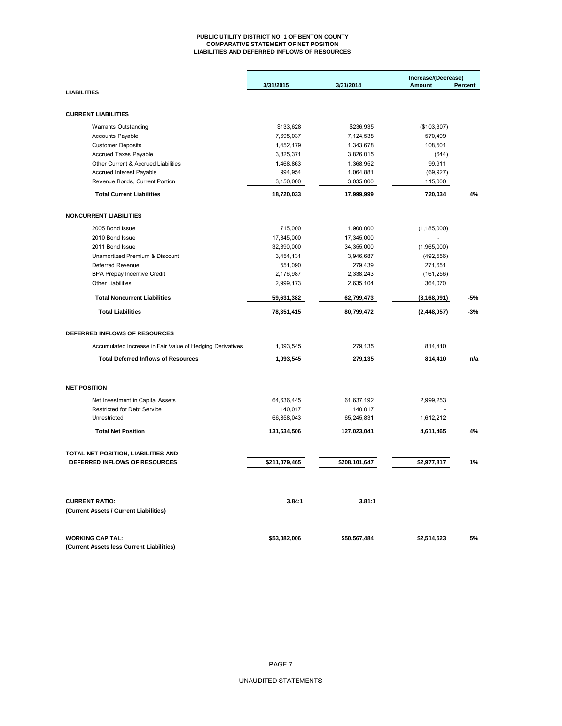#### **PUBLIC UTILITY DISTRICT NO. 1 OF BENTON COUNTY COMPARATIVE STATEMENT OF NET POSITION LIABILITIES AND DEFERRED INFLOWS OF RESOURCES**

|                                                                 |               |               | Increase/(Decrease) |         |
|-----------------------------------------------------------------|---------------|---------------|---------------------|---------|
|                                                                 | 3/31/2015     | 3/31/2014     | Amount              | Percent |
| <b>LIABILITIES</b>                                              |               |               |                     |         |
|                                                                 |               |               |                     |         |
| <b>CURRENT LIABILITIES</b>                                      |               |               |                     |         |
| <b>Warrants Outstanding</b>                                     | \$133,628     | \$236,935     | (\$103,307)         |         |
| <b>Accounts Payable</b>                                         | 7,695,037     | 7,124,538     | 570,499             |         |
| <b>Customer Deposits</b>                                        | 1,452,179     | 1,343,678     | 108,501             |         |
| Accrued Taxes Payable                                           | 3,825,371     | 3,826,015     | (644)               |         |
| Other Current & Accrued Liabilities                             | 1,468,863     | 1,368,952     | 99,911              |         |
| Accrued Interest Payable                                        | 994,954       | 1,064,881     | (69, 927)           |         |
| Revenue Bonds, Current Portion                                  | 3,150,000     | 3,035,000     | 115,000             |         |
| <b>Total Current Liabilities</b>                                | 18,720,033    | 17,999,999    | 720,034             | 4%      |
| <b>NONCURRENT LIABILITIES</b>                                   |               |               |                     |         |
| 2005 Bond Issue                                                 | 715,000       | 1,900,000     | (1, 185, 000)       |         |
| 2010 Bond Issue                                                 | 17,345,000    | 17,345,000    |                     |         |
| 2011 Bond Issue                                                 | 32,390,000    | 34,355,000    | (1,965,000)         |         |
| Unamortized Premium & Discount                                  | 3,454,131     | 3,946,687     | (492, 556)          |         |
| Deferred Revenue                                                | 551,090       | 279,439       | 271,651             |         |
| <b>BPA Prepay Incentive Credit</b>                              | 2,176,987     | 2,338,243     | (161, 256)          |         |
| <b>Other Liabilities</b>                                        | 2,999,173     | 2,635,104     | 364,070             |         |
| <b>Total Noncurrent Liabilities</b>                             | 59,631,382    | 62,799,473    | (3, 168, 091)       | -5%     |
| <b>Total Liabilities</b>                                        | 78,351,415    | 80,799,472    | (2, 448, 057)       | $-3%$   |
| DEFERRED INFLOWS OF RESOURCES                                   |               |               |                     |         |
|                                                                 |               |               |                     |         |
| Accumulated Increase in Fair Value of Hedging Derivatives       | 1,093,545     | 279,135       | 814,410             |         |
| <b>Total Deferred Inflows of Resources</b>                      | 1,093,545     | 279,135       | 814,410             | n/a     |
| <b>NET POSITION</b>                                             |               |               |                     |         |
| Net Investment in Capital Assets                                | 64,636,445    | 61,637,192    | 2,999,253           |         |
| <b>Restricted for Debt Service</b>                              | 140,017       | 140,017       |                     |         |
| Unrestricted                                                    | 66,858,043    | 65,245,831    | 1,612,212           |         |
| <b>Total Net Position</b>                                       | 131,634,506   | 127,023,041   | 4,611,465           | 4%      |
| TOTAL NET POSITION, LIABILITIES AND                             |               |               |                     |         |
| DEFERRED INFLOWS OF RESOURCES                                   | \$211,079,465 | \$208,101,647 | \$2,977,817         | 1%      |
| <b>CURRENT RATIO:</b><br>(Current Assets / Current Liabilities) | 3.84:1        | 3.81:1        |                     |         |
|                                                                 |               |               |                     |         |
| <b>WORKING CAPITAL:</b>                                         | \$53,082,006  | \$50,567,484  | \$2,514,523         | 5%      |
| (Current Assets less Current Liabilities)                       |               |               |                     |         |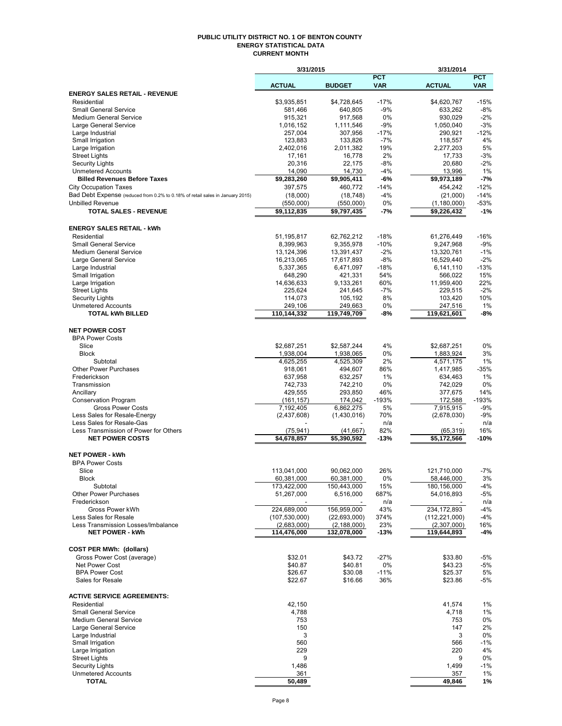#### **PUBLIC UTILITY DISTRICT NO. 1 OF BENTON COUNTY ENERGY STATISTICAL DATA CURRENT MONTH**

|                                                                               | 3/31/2015              |                        |              | 3/31/2014                         |                 |
|-------------------------------------------------------------------------------|------------------------|------------------------|--------------|-----------------------------------|-----------------|
|                                                                               |                        |                        | <b>PCT</b>   |                                   | <b>PCT</b>      |
|                                                                               | <b>ACTUAL</b>          | <b>BUDGET</b>          | <b>VAR</b>   | <b>ACTUAL</b>                     | <b>VAR</b>      |
| <b>ENERGY SALES RETAIL - REVENUE</b>                                          |                        |                        | $-17%$       |                                   |                 |
| Residential<br><b>Small General Service</b>                                   | \$3,935,851<br>581,466 | \$4,728,645<br>640,805 | $-9%$        | \$4,620,767<br>633,262            | $-15%$<br>$-8%$ |
| <b>Medium General Service</b>                                                 | 915,321                | 917,568                | 0%           | 930,029                           | $-2%$           |
| Large General Service                                                         | 1,016,152              | 1,111,546              | $-9%$        | 1,050,040                         | $-3%$           |
| Large Industrial                                                              | 257,004                | 307,956                | $-17%$       | 290,921                           | $-12%$          |
| Small Irrigation                                                              | 123,883                | 133,826                | $-7%$        | 118,557                           | 4%              |
| Large Irrigation                                                              | 2,402,016              | 2,011,382              | 19%          | 2,277,203                         | 5%              |
| <b>Street Lights</b>                                                          | 17,161                 | 16,778                 | 2%           | 17,733                            | $-3%$           |
| <b>Security Lights</b>                                                        | 20,316                 | 22,175                 | $-8%$        | 20,680                            | $-2%$           |
| <b>Unmetered Accounts</b><br><b>Billed Revenues Before Taxes</b>              | 14,090<br>\$9,283,260  | 14,730<br>\$9,905,411  | $-4%$<br>-6% | 13,996<br>$\overline{59,973,189}$ | 1%<br>$-7%$     |
| <b>City Occupation Taxes</b>                                                  | 397,575                | 460,772                | $-14%$       | 454,242                           | $-12%$          |
| Bad Debt Expense (reduced from 0.2% to 0.18% of retail sales in January 2015) | (18,000)               | (18, 748)              | $-4%$        | (21,000)                          | $-14%$          |
| <b>Unbilled Revenue</b>                                                       | (550,000)              | (550,000)              | 0%           | (1,180,000)                       | $-53%$          |
| <b>TOTAL SALES - REVENUE</b>                                                  | \$9,112,835            | \$9,797,435            | -7%          | \$9,226,432                       | $-1%$           |
|                                                                               |                        |                        |              |                                   |                 |
| <b>ENERGY SALES RETAIL - kWh</b>                                              |                        |                        |              |                                   |                 |
| Residential                                                                   | 51,195,817             | 62,762,212             | $-18%$       | 61,276,449                        | $-16%$          |
| <b>Small General Service</b>                                                  | 8,399,963              | 9,355,978              | $-10%$       | 9,247,968                         | $-9%$           |
| <b>Medium General Service</b>                                                 | 13,124,396             | 13,391,437             | $-2%$        | 13,320,761                        | $-1%$           |
| Large General Service                                                         | 16,213,065             | 17,617,893             | $-8%$        | 16,529,440                        | $-2%$           |
| Large Industrial                                                              | 5,337,365              | 6,471,097              | $-18%$       | 6,141,110                         | $-13%$          |
| Small Irrigation                                                              | 648,290                | 421,331                | 54%          | 566,022                           | 15%             |
| Large Irrigation                                                              | 14,636,633             | 9,133,261              | 60%          | 11,959,400                        | 22%             |
| <b>Street Lights</b>                                                          | 225,624                | 241,645                | $-7%$        | 229,515                           | $-2%$           |
| <b>Security Lights</b>                                                        | 114,073                | 105,192                | 8%           | 103,420                           | 10%             |
| <b>Unmetered Accounts</b><br><b>TOTAL kWh BILLED</b>                          | 249,106<br>110,144,332 | 249,663<br>119,749,709 | 0%<br>-8%    | 247,516<br>119,621,601            | 1%<br>-8%       |
|                                                                               |                        |                        |              |                                   |                 |
| <b>NET POWER COST</b>                                                         |                        |                        |              |                                   |                 |
| <b>BPA Power Costs</b>                                                        |                        |                        |              |                                   |                 |
| Slice                                                                         | \$2,687,251            | \$2,587,244            | 4%           | \$2,687,251                       | 0%              |
| <b>Block</b>                                                                  | 1,938,004              | 1,938,065              | 0%           | 1,883,924                         | 3%              |
| Subtotal                                                                      | 4,625,255              | 4,525,309              | 2%           | 4,571,175                         | 1%              |
| <b>Other Power Purchases</b>                                                  | 918,061                | 494,607                | 86%          | 1,417,985                         | $-35%$          |
| Frederickson                                                                  | 637,958                | 632,257                | 1%           | 634,463                           | 1%              |
| Transmission                                                                  | 742,733                | 742,210                | 0%           | 742,029                           | 0%              |
| Ancillary                                                                     | 429,555                | 293,850                | 46%          | 377,675                           | 14%             |
| <b>Conservation Program</b>                                                   | (161, 157)             | 174,042                | $-193%$      | 172,588                           | $-193%$         |
| <b>Gross Power Costs</b>                                                      | 7,192,405              | 6,862,275              | 5%           | 7,915,915                         | $-9%$           |
| Less Sales for Resale-Energy<br>Less Sales for Resale-Gas                     | (2,437,608)            | (1,430,016)            | 70%<br>n/a   | (2,678,030)                       | $-9%$<br>n/a    |
| Less Transmission of Power for Others                                         | (75, 941)              | (41, 667)              | 82%          | (65, 319)                         | 16%             |
| <b>NET POWER COSTS</b>                                                        | \$4,678,857            | $\overline{5,}390,592$ | $-13%$       | \$5,172,566                       | $-10%$          |
|                                                                               |                        |                        |              |                                   |                 |
| <b>NET POWER - kWh</b>                                                        |                        |                        |              |                                   |                 |
| <b>BPA Power Costs</b>                                                        |                        |                        |              |                                   |                 |
| Slice                                                                         | 113,041,000            | 90,062,000             | 26%          | 121,710,000                       | $-7%$           |
| Block                                                                         | 60,381,000             | 60,381,000             | 0%           | 58,446,000                        | 3%              |
| Subtotal                                                                      | 173,422,000            | 150,443,000            | 15%          | 180,156,000                       | $-4%$           |
| <b>Other Power Purchases</b>                                                  | 51,267,000             | 6,516,000              | 687%         | 54,016,893                        | -5%             |
| Frederickson<br>Gross Power kWh                                               | 224,689,000            | 156,959,000            | n/a<br>43%   | 234, 172, 893                     | n/a<br>$-4%$    |
| Less Sales for Resale                                                         | (107, 530, 000)        | (22, 693, 000)         | 374%         | (112, 221, 000)                   | $-4%$           |
| Less Transmission Losses/Imbalance                                            | (2,683,000)            | (2, 188, 000)          | 23%          | (2,307,000)                       | 16%             |
| <b>NET POWER - kWh</b>                                                        | 114,476,000            | 132,078,000            | $-13%$       | 119,644,893                       | -4%             |
|                                                                               |                        |                        |              |                                   |                 |
| <b>COST PER MWh: (dollars)</b>                                                |                        |                        |              |                                   |                 |
| Gross Power Cost (average)                                                    | \$32.01                | \$43.72                | $-27%$       | \$33.80                           | -5%             |
| Net Power Cost                                                                | \$40.87                | \$40.81                | 0%           | \$43.23                           | -5%             |
| <b>BPA Power Cost</b>                                                         | \$26.67                | \$30.08                | $-11%$       | \$25.37                           | 5%              |
| Sales for Resale                                                              | \$22.67                | \$16.66                | 36%          | \$23.86                           | $-5%$           |
|                                                                               |                        |                        |              |                                   |                 |
| <b>ACTIVE SERVICE AGREEMENTS:</b>                                             |                        |                        |              |                                   |                 |
| Residential                                                                   | 42,150                 |                        |              | 41,574                            | 1%              |
| <b>Small General Service</b><br><b>Medium General Service</b>                 | 4,788                  |                        |              | 4,718                             | 1%              |
| Large General Service                                                         | 753<br>150             |                        |              | 753<br>147                        | 0%<br>2%        |
| Large Industrial                                                              | 3                      |                        |              | 3                                 | 0%              |
| Small Irrigation                                                              | 560                    |                        |              | 566                               | $-1%$           |
| Large Irrigation                                                              | 229                    |                        |              | 220                               | 4%              |
| <b>Street Lights</b>                                                          | 9                      |                        |              | 9                                 | 0%              |
| <b>Security Lights</b>                                                        | 1,486                  |                        |              | 1,499                             | $-1%$           |
| <b>Unmetered Accounts</b>                                                     | 361                    |                        |              | 357                               | 1%              |
| <b>TOTAL</b>                                                                  | 50,489                 |                        |              | 49,846                            | 1%              |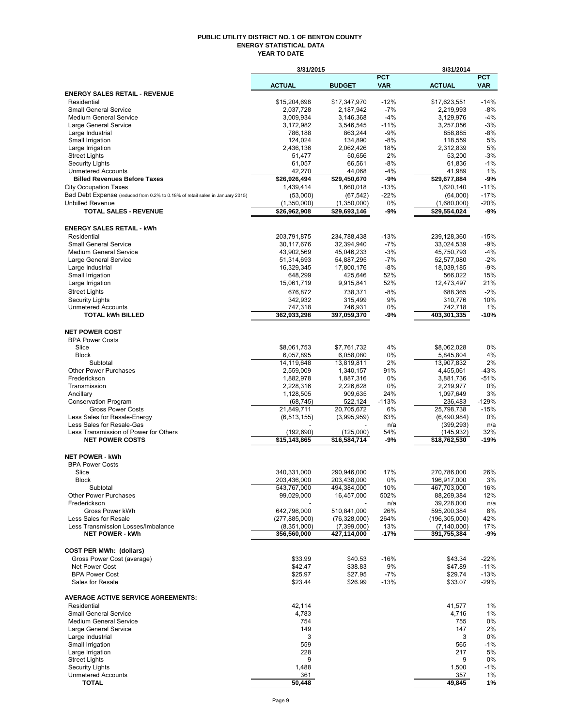#### **PUBLIC UTILITY DISTRICT NO. 1 OF BENTON COUNTY ENERGY STATISTICAL DATA YEAR TO DATE**

|                                                                               | 3/31/2015                      |                             |                          | 3/31/2014                        |                          |
|-------------------------------------------------------------------------------|--------------------------------|-----------------------------|--------------------------|----------------------------------|--------------------------|
|                                                                               | <b>ACTUAL</b>                  | <b>BUDGET</b>               | <b>PCT</b><br><b>VAR</b> | <b>ACTUAL</b>                    | <b>PCT</b><br><b>VAR</b> |
| <b>ENERGY SALES RETAIL - REVENUE</b>                                          |                                |                             |                          |                                  |                          |
| Residential                                                                   | \$15,204,698                   | \$17,347,970                | $-12%$                   | \$17,623,551                     | $-14%$                   |
| <b>Small General Service</b>                                                  | 2,037,728                      | 2,187,942                   | $-7%$                    | 2,219,993                        | $-8%$                    |
| <b>Medium General Service</b>                                                 | 3,009,934                      | 3,146,368                   | $-4%$                    | 3,129,976                        | $-4%$                    |
| Large General Service<br>Large Industrial                                     | 3,172,982<br>786,188           | 3,546,545<br>863,244        | $-11%$<br>$-9%$          | 3,257,056<br>858,885             | $-3%$<br>$-8%$           |
| Small Irrigation                                                              | 124,024                        | 134,890                     | $-8%$                    | 118,559                          | 5%                       |
| Large Irrigation                                                              | 2,436,136                      | 2,062,426                   | 18%                      | 2,312,839                        | 5%                       |
| Street Lights                                                                 | 51,477                         | 50,656                      | 2%                       | 53,200                           | $-3%$                    |
| <b>Security Lights</b>                                                        | 61,057                         | 66,561                      | $-8%$                    | 61,836                           | $-1%$                    |
| <b>Unmetered Accounts</b><br><b>Billed Revenues Before Taxes</b>              | 42,270<br>\$26,926,494         | 44,068<br>\$29,450,670      | -4%<br>-9%               | 41,989<br>\$29,677,884           | 1%<br>$-9%$              |
| <b>City Occupation Taxes</b>                                                  | 1,439,414                      | 1,660,018                   | $-13%$                   | 1,620,140                        | $-11%$                   |
| Bad Debt Expense (reduced from 0.2% to 0.18% of retail sales in January 2015) | (53,000)                       | (67, 542)                   | $-22%$                   | (64,000)                         | $-17%$                   |
| <b>Unbilled Revenue</b>                                                       | (1,350,000)                    | (1,350,000)                 | 0%                       | (1,680,000)                      | $-20%$                   |
| <b>TOTAL SALES - REVENUE</b>                                                  | \$26,962,908                   | \$29,693,146                | -9%                      | \$29,554,024                     | $-9%$                    |
| <b>ENERGY SALES RETAIL - kWh</b>                                              |                                |                             |                          |                                  |                          |
| Residential                                                                   | 203,791,875                    | 234,788,438                 | $-13%$                   | 239,128,360                      | $-15%$                   |
| <b>Small General Service</b>                                                  | 30,117,676                     | 32,394,940                  | $-7%$                    | 33,024,539                       | $-9%$                    |
| <b>Medium General Service</b>                                                 | 43,902,569                     | 45,046,233                  | $-3%$                    | 45,750,793                       | $-4%$                    |
| Large General Service                                                         | 51,314,693                     | 54.887.295                  | $-7%$                    | 52,577,080                       | $-2%$                    |
| Large Industrial                                                              | 16,329,345                     | 17,800,176                  | $-8%$<br>52%             | 18,039,185                       | $-9%$<br>15%             |
| Small Irrigation<br>Large Irrigation                                          | 648,299<br>15,061,719          | 425,646<br>9,915,841        | 52%                      | 566,022<br>12,473,497            | 21%                      |
| <b>Street Lights</b>                                                          | 676,872                        | 738,371                     | $-8%$                    | 688,365                          | $-2%$                    |
| Security Lights                                                               | 342,932                        | 315,499                     | 9%                       | 310,776                          | 10%                      |
| <b>Unmetered Accounts</b>                                                     | 747,318                        | 746,931                     | 0%                       | 742,718                          | 1%                       |
| <b>TOTAL kWh BILLED</b>                                                       | 362,933,298                    | 397,059,370                 | -9%                      | 403,301,335                      | $-10%$                   |
| <b>NET POWER COST</b>                                                         |                                |                             |                          |                                  |                          |
| <b>BPA Power Costs</b>                                                        |                                |                             |                          |                                  |                          |
| Slice                                                                         | \$8,061,753                    | \$7,761,732                 | 4%                       | \$8,062,028                      | 0%                       |
| <b>Block</b>                                                                  | 6,057,895                      | 6,058,080                   | 0%                       | 5,845,804                        | 4%                       |
| Subtotal                                                                      | 14,119,648                     | 13,819,811                  | 2%                       | 13,907,832                       | 2%                       |
| <b>Other Power Purchases</b>                                                  | 2,559,009                      | 1,340,157                   | 91%                      | 4,455,061                        | $-43%$                   |
| Frederickson<br>Transmission                                                  | 1,882,978<br>2,228,316         | 1,887,316<br>2,226,628      | 0%<br>0%                 | 3,881,736                        | $-51%$<br>0%             |
| Ancillary                                                                     | 1,128,505                      | 909,635                     | 24%                      | 2,219,977<br>1,097,649           | 3%                       |
| <b>Conservation Program</b>                                                   | (68, 745)                      | 522,124                     | $-113%$                  | 236,483                          | $-129%$                  |
| <b>Gross Power Costs</b>                                                      | 21,849,711                     | 20,705,672                  | 6%                       | 25,798,738                       | $-15%$                   |
| Less Sales for Resale-Energy                                                  | (6, 513, 155)                  | (3,995,959)                 | 63%                      | (6,490,984)                      | 0%                       |
| Less Sales for Resale-Gas                                                     |                                |                             | n/a                      | (399, 293)                       | n/a                      |
| Less Transmission of Power for Others<br><b>NET POWER COSTS</b>               | (192,690)<br>\$15, 143, 865    | (125,000)<br>\$16,584,714   | 54%<br>-9%               | (145,932)<br>\$18,762,530        | 32%<br>-19%              |
|                                                                               |                                |                             |                          |                                  |                          |
| <b>NET POWER - kWh</b><br><b>BPA Power Costs</b>                              |                                |                             |                          |                                  |                          |
| Slice                                                                         | 340,331,000                    | 290,946,000                 | 17%                      | 270,786,000                      | 26%                      |
| Block                                                                         | 203,436,000                    | 203,438,000                 | $0\%$                    | 196,917,000                      | 3%                       |
| Subtotal                                                                      | 543,767,000                    | 494,384,000                 | 10%                      | 467,703,000                      | 16%                      |
| <b>Other Power Purchases</b>                                                  | 99,029,000                     | 16,457,000                  | 502%                     | 88,269,384                       | 12%                      |
| Frederickson                                                                  |                                |                             | n/a                      | 39,228,000                       | n/a                      |
| Gross Power kWh<br>Less Sales for Resale                                      | 642,796,000                    | 510,841,000                 | 26%                      | 595,200,384                      | 8%<br>42%                |
| Less Transmission Losses/Imbalance                                            | (277, 885, 000)<br>(8,351,000) | (76,328,000)<br>(7,399,000) | 264%<br>13%              | (196, 305, 000)<br>(7, 140, 000) | 17%                      |
| <b>NET POWER - kWh</b>                                                        | 356,560,000                    | 427,114,000                 | $-17%$                   | 391,755,384                      | -9%                      |
| <b>COST PER MWh: (dollars)</b>                                                |                                |                             |                          |                                  |                          |
| Gross Power Cost (average)                                                    | \$33.99                        | \$40.53                     | $-16%$                   | \$43.34                          | $-22%$                   |
| Net Power Cost                                                                | \$42.47                        | \$38.83                     | 9%                       | \$47.89                          | $-11%$                   |
| <b>BPA Power Cost</b>                                                         | \$25.97                        | \$27.95                     | $-7%$                    | \$29.74                          | $-13%$                   |
| Sales for Resale                                                              | \$23.44                        | \$26.99                     | $-13%$                   | \$33.07                          | $-29%$                   |
| <b>AVERAGE ACTIVE SERVICE AGREEMENTS:</b>                                     |                                |                             |                          |                                  |                          |
| Residential                                                                   | 42,114                         |                             |                          | 41,577                           | 1%                       |
| <b>Small General Service</b>                                                  | 4,783                          |                             |                          | 4,716                            | 1%                       |
| <b>Medium General Service</b>                                                 | 754                            |                             |                          | 755                              | 0%                       |
| Large General Service                                                         | 149                            |                             |                          | 147                              | 2%                       |
| Large Industrial<br>Small Irrigation                                          | 3<br>559                       |                             |                          | 3<br>565                         | 0%<br>$-1%$              |
| Large Irrigation                                                              | 228                            |                             |                          | 217                              | 5%                       |
| <b>Street Lights</b>                                                          | 9                              |                             |                          | 9                                | 0%                       |
| <b>Security Lights</b>                                                        | 1,488                          |                             |                          | 1,500                            | $-1%$                    |
| <b>Unmetered Accounts</b>                                                     | 361                            |                             |                          | 357                              | 1%                       |
| <b>TOTAL</b>                                                                  | 50,448                         |                             |                          | 49,845                           | 1%                       |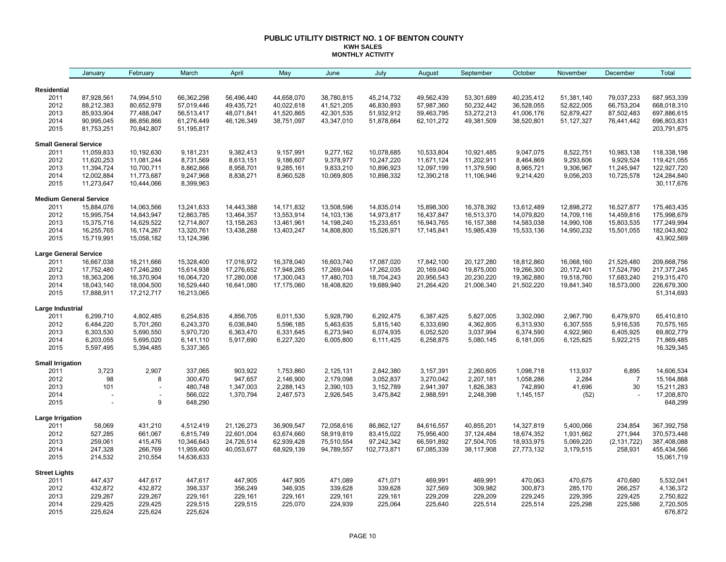#### **PUBLIC UTILITY DISTRICT NO. 1 OF BENTON COUNTY KWH SALES MONTHLY ACTIVITY**

|                              | January                       | February                 | March                    | April      | May          | June       | July        | August     | September  | October    | November     | December       | Total                     |
|------------------------------|-------------------------------|--------------------------|--------------------------|------------|--------------|------------|-------------|------------|------------|------------|--------------|----------------|---------------------------|
| <b>Residential</b>           |                               |                          |                          |            |              |            |             |            |            |            |              |                |                           |
| 2011                         | 87,928,561                    | 74,994,510               | 66,362,298               | 56,496,440 | 44,658,070   | 38,780,815 | 45,214,732  | 49,562,439 | 53,301,689 | 40,235,412 | 51,381,140   | 79,037,233     | 687,953,339               |
| 2012                         | 88,212,383                    | 80,652,978               | 57,019,446               | 49,435,721 | 40,022,618   | 41,521,205 | 46,830,893  | 57,987,360 | 50,232,442 | 36,528,055 | 52,822,005   | 66,753,204     | 668,018,310               |
| 2013                         | 85,933,904                    | 77,488,047               | 56,513,417               | 48,071,841 | 41,520,865   | 42,301,535 | 51,932,912  | 59,463,795 | 53,272,213 | 41,006,176 | 52,879,427   | 87,502,483     | 697,886,615               |
| 2014                         | 90,995,045                    | 86,856,866               | 61,276,449               | 46,126,349 | 38,751,097   | 43,347,010 | 51,878,664  | 62,101,272 | 49,381,509 | 38,520,801 | 51, 127, 327 | 76,441,442     | 696,803,831               |
| 2015                         | 81,753,251                    | 70,842,807               | 51,195,817               |            |              |            |             |            |            |            |              |                | 203,791,875               |
| <b>Small General Service</b> |                               |                          |                          |            |              |            |             |            |            |            |              |                |                           |
| 2011                         | 11,059,833                    | 10,192,630               | 9,181,231                | 9,382,413  | 9,157,991    | 9,277,162  | 10,078,685  | 10,533,804 | 10,921,485 | 9,047,075  | 8,522,751    | 10,983,138     | 118,338,198               |
| 2012                         | 11,620,253                    | 11,081,244               | 8,731,569                | 8,613,151  | 9,186,607    | 9,378,977  | 10,247,220  | 11,671,124 | 11,202,911 | 8,464,869  | 9,293,606    | 9,929,524      | 119,421,055               |
| 2013                         | 11,394,724                    | 10,700,711               | 8,862,866                | 8,958,701  | 9,285,161    | 9,833,210  | 10,896,923  | 12,097,199 | 11,379,590 | 8,965,721  | 9,306,967    | 11,245,947     | 122,927,720               |
| 2014                         | 12,002,884                    | 11,773,687               | 9,247,968                | 8,838,271  | 8,960,528    | 10,069,805 | 10,898,332  | 12,390,218 | 11,106,946 | 9,214,420  | 9,056,203    | 10,725,578     | 124,284,840               |
| 2015                         | 11,273,647                    | 10,444,066               | 8,399,963                |            |              |            |             |            |            |            |              |                | 30,117,676                |
|                              | <b>Medium General Service</b> |                          |                          |            |              |            |             |            |            |            |              |                |                           |
| 2011                         | 15,884,076                    | 14,063,566               | 13,241,633               | 14,443,388 | 14, 171, 832 | 13,508,596 | 14,835,014  | 15,898,300 | 16,378,392 | 13,612,489 | 12,898,272   | 16,527,877     | 175,463,435               |
| 2012                         | 15,995,754                    | 14,843,947               | 12,863,785               | 13,464,357 | 13,553,914   | 14,103,136 | 14,973,817  | 16,437,847 | 16,513,370 | 14,079,820 | 14,709,116   | 14,459,816     | 175,998,679               |
| 2013                         | 15,375,716                    | 14,629,522               | 12,714,807               | 13,158,263 | 13,461,961   | 14,198,240 | 15,233,651  | 16,943,765 | 16,157,388 | 14,583,038 | 14,990,108   | 15,803,535     | 177,249,994               |
| 2014                         | 16,255,765                    | 16,174,267               | 13,320,761               | 13,438,288 | 13,403,247   | 14,808,800 | 15,526,971  | 17,145,841 | 15,985,439 | 15,533,136 | 14,950,232   | 15,501,055     | 182,043,802               |
| 2015                         | 15,719,991                    | 15,058,182               | 13,124,396               |            |              |            |             |            |            |            |              |                | 43,902,569                |
| <b>Large General Service</b> |                               |                          |                          |            |              |            |             |            |            |            |              |                |                           |
| 2011                         | 16,667,038                    | 16,211,666               | 15,328,400               | 17,016,972 | 16,378,040   | 16,603,740 | 17,087,020  | 17,842,100 | 20,127,280 | 18,812,860 | 16,068,160   | 21,525,480     | 209,668,756               |
| 2012                         | 17,752,480                    | 17,246,280               | 15,614,938               | 17,276,652 | 17,948,285   | 17,269,044 | 17,262,035  | 20,169,040 | 19,875,000 | 19,266,300 | 20,172,401   | 17,524,790     | 217, 377, 245             |
| 2013                         | 18,363,206                    | 16,370,904               | 16,064,720               | 17,280,008 | 17,300,043   | 17,480,703 | 18,704,243  | 20,956,543 | 20,230,220 | 19,362,880 | 19,518,760   | 17,683,240     | 219,315,470               |
| 2014                         | 18,043,140                    | 18,004,500               | 16,529,440               | 16,641,080 | 17,175,060   | 18,408,820 | 19,689,940  | 21,264,420 | 21,006,340 | 21,502,220 | 19,841,340   | 18,573,000     | 226,679,300               |
| 2015                         | 17,888,911                    | 17,212,717               | 16,213,065               |            |              |            |             |            |            |            |              |                | 51,314,693                |
| Large Industrial             |                               |                          |                          |            |              |            |             |            |            |            |              |                |                           |
| 2011                         | 6,299,710                     | 4,802,485                | 6,254,835                | 4,856,705  | 6,011,530    | 5,928,790  | 6,292,475   | 6,387,425  | 5,827,005  | 3,302,090  | 2,967,790    | 6,479,970      | 65,410,810                |
| 2012                         | 6,484,220                     | 5,701,260                | 6,243,370                | 6,036,840  | 5,596,185    | 5,463,635  | 5,815,140   | 6,333,690  | 4,362,805  | 6,313,930  | 6,307,555    | 5,916,535      | 70,575,165                |
| 2013                         | 6,303,530                     | 5,690,550                | 5,970,720                | 6,363,470  | 6,331,645    | 6,273,940  | 6,074,935   | 6,052,520  | 3,037,994  | 6,374,590  | 4,922,960    | 6,405,925      | 69,802,779                |
| 2014                         | 6,203,055                     | 5,695,020                | 6,141,110                | 5,917,690  | 6,227,320    | 6,005,800  | 6,111,425   | 6,258,875  | 5,080,145  | 6,181,005  | 6,125,825    | 5,922,215      | 71,869,485                |
| 2015                         | 5,597,495                     | 5,394,485                | 5,337,365                |            |              |            |             |            |            |            |              |                | 16,329,345                |
| <b>Small Irrigation</b>      |                               |                          |                          |            |              |            |             |            |            |            |              |                |                           |
| 2011                         | 3,723                         | 2,907                    | 337,065                  | 903,922    | 1,753,860    | 2,125,131  | 2,842,380   | 3,157,391  | 2,260,605  | 1,098,718  | 113,937      | 6,895          | 14,606,534                |
| 2012                         | 98                            | 8                        | 300,470                  | 947,657    | 2,146,900    | 2,179,098  | 3,052,837   | 3,270,042  | 2,207,181  | 1,058,286  | 2,284        | $\overline{7}$ | 15,164,868                |
| 2013                         | 101                           | $\overline{\phantom{a}}$ | 480,748                  | 1,347,003  | 2,288,143    | 2,390,103  | 3,152,789   | 2,941,397  | 1,826,383  | 742,890    | 41,696       | 30             | 15,211,283                |
| 2014                         |                               |                          | 566,022                  | 1,370,794  | 2,487,573    | 2,926,545  | 3,475,842   | 2,988,591  | 2,248,398  | 1,145,157  | (52)         |                | 17,208,870                |
| 2015                         |                               | 9                        | 648,290                  |            |              |            |             |            |            |            |              |                | 648,299                   |
| Large Irrigation             |                               |                          |                          |            |              |            |             |            |            |            |              |                |                           |
| 2011                         | 58,069                        | 431,210                  | 4,512,419                | 21,126,273 | 36,909,547   | 72,058,616 | 86,862,127  | 84,616,557 | 40,855,201 | 14,327,819 | 5,400,066    | 234,854        | 367,392,758               |
| 2012                         | 527,285                       | 661,067                  | 6,815,749                | 22,601,004 | 63,674,660   | 58,919,819 | 83,415,022  | 75,956,400 | 37,124,484 | 18,674,352 | 1,931,662    | 271,944        | 370,573,448               |
| 2013                         | 259,061                       | 415,476                  | 10,346,643               | 24,726,514 | 62,939,428   | 75,510,554 | 97,242,342  | 66,591,892 | 27,504,705 | 18,933,975 | 5,069,220    | (2, 131, 722)  | 387,408,088               |
| 2014<br>2015                 | 247,328<br>214,532            | 266,769<br>210,554       | 11,959,400<br>14,636,633 | 40,053,677 | 68,929,139   | 94,789,557 | 102,773,871 | 67,085,339 | 38,117,908 | 27,773,132 | 3,179,515    | 258,931        | 455,434,566<br>15,061,719 |
|                              |                               |                          |                          |            |              |            |             |            |            |            |              |                |                           |
| <b>Street Lights</b>         | 447,437                       | 447,617                  | 447,617                  | 447,905    | 447,905      | 471,089    | 471,071     | 469,991    | 469,991    | 470,063    | 470,675      | 470,680        | 5,532,041                 |
| 2011<br>2012                 | 432,872                       | 432,872                  | 398,337                  | 356,249    | 346,935      | 339,628    | 339,628     | 327,569    | 309,982    | 300,873    | 285,170      | 266,257        | 4,136,372                 |
| 2013                         | 229,267                       | 229,267                  | 229,161                  | 229,161    | 229,161      | 229,161    | 229,161     | 229,209    | 229,209    | 229,245    | 229,395      | 229,425        | 2,750,822                 |
| 2014                         | 229,425                       | 229,425                  | 229,515                  | 229,515    | 225,070      | 224,939    | 225,064     | 225,640    | 225,514    | 225,514    | 225,298      | 225,586        | 2,720,505                 |
| 2015                         | 225,624                       | 225,624                  | 225,624                  |            |              |            |             |            |            |            |              |                | 676,872                   |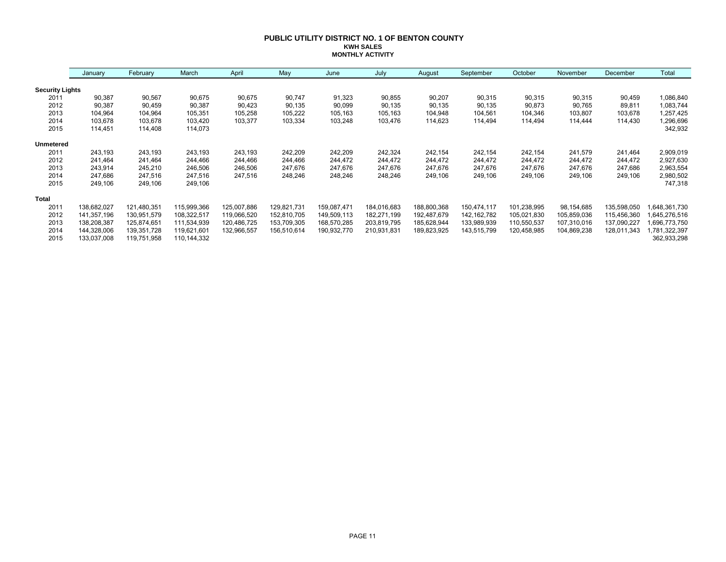#### **PUBLIC UTILITY DISTRICT NO. 1 OF BENTON COUNTY KWH SALES MONTHLY ACTIVITY**

|                        | January     | February    | March       | April       | May         | June        | July        | August      | September     | October     | November    | December    | Total        |
|------------------------|-------------|-------------|-------------|-------------|-------------|-------------|-------------|-------------|---------------|-------------|-------------|-------------|--------------|
| <b>Security Lights</b> |             |             |             |             |             |             |             |             |               |             |             |             |              |
| 2011                   | 90,387      | 90,567      | 90,675      | 90,675      | 90,747      | 91,323      | 90,855      | 90,207      | 90,315        | 90,315      | 90,315      | 90,459      | 1,086,840    |
| 2012                   | 90,387      | 90,459      | 90,387      | 90,423      | 90,135      | 90,099      | 90,135      | 90,135      | 90,135        | 90,873      | 90,765      | 89,811      | 1,083,744    |
| 2013                   | 104,964     | 104,964     | 105,351     | 105,258     | 105,222     | 105,163     | 105,163     | 104,948     | 104,561       | 104,346     | 103,807     | 103,678     | 1,257,425    |
| 2014                   | 103,678     | 103,678     | 103,420     | 103,377     | 103,334     | 103,248     | 103,476     | 114,623     | 114,494       | 114,494     | 114,444     | 114,430     | 1,296,696    |
| 2015                   | 114,451     | 114,408     | 114,073     |             |             |             |             |             |               |             |             |             | 342,932      |
| <b>Unmetered</b>       |             |             |             |             |             |             |             |             |               |             |             |             |              |
| 2011                   | 243,193     | 243,193     | 243,193     | 243,193     | 242,209     | 242,209     | 242,324     | 242,154     | 242,154       | 242,154     | 241,579     | 241,464     | 2,909,019    |
| 2012                   | 241,464     | 241,464     | 244,466     | 244,466     | 244,466     | 244,472     | 244,472     | 244,472     | 244,472       | 244,472     | 244,472     | 244,472     | 2,927,630    |
| 2013                   | 243,914     | 245,210     | 246,506     | 246,506     | 247,676     | 247,676     | 247,676     | 247,676     | 247,676       | 247,676     | 247,676     | 247,686     | 2,963,554    |
| 2014                   | 247,686     | 247,516     | 247,516     | 247,516     | 248,246     | 248,246     | 248,246     | 249,106     | 249,106       | 249,106     | 249,106     | 249,106     | 2,980,502    |
| 2015                   | 249,106     | 249,106     | 249,106     |             |             |             |             |             |               |             |             |             | 747,318      |
| <b>Total</b>           |             |             |             |             |             |             |             |             |               |             |             |             |              |
| 2011                   | 138,682,027 | 121,480,351 | 115,999,366 | 125,007,886 | 129,821,731 | 159,087,471 | 184,016,683 | 188,800,368 | 150,474,117   | 101,238,995 | 98,154,685  | 135,598,050 | 648,361,730  |
| 2012                   | 141,357,196 | 130,951,579 | 108,322,517 | 119,066,520 | 152,810,705 | 149,509,113 | 182,271,199 | 192,487,679 | 142, 162, 782 | 105,021,830 | 105,859,036 | 115,456,360 | 645,276,516  |
| 2013                   | 138,208,387 | 125,874,651 | 111,534,939 | 120,486,725 | 153,709,305 | 168,570,285 | 203,819,795 | 185,628,944 | 133,989,939   | 110,550,537 | 107,310,016 | 137,090,227 | 696,773,750  |
| 2014                   | 144,328,006 | 139,351,728 | 119,621,601 | 132,966,557 | 156,510,614 | 190,932,770 | 210,931,831 | 189,823,925 | 143,515,799   | 120,458,985 | 104,869,238 | 128,011,343 | ,781,322,397 |
| 2015                   | 133,037,008 | 119,751,958 | 110,144,332 |             |             |             |             |             |               |             |             |             | 362,933,298  |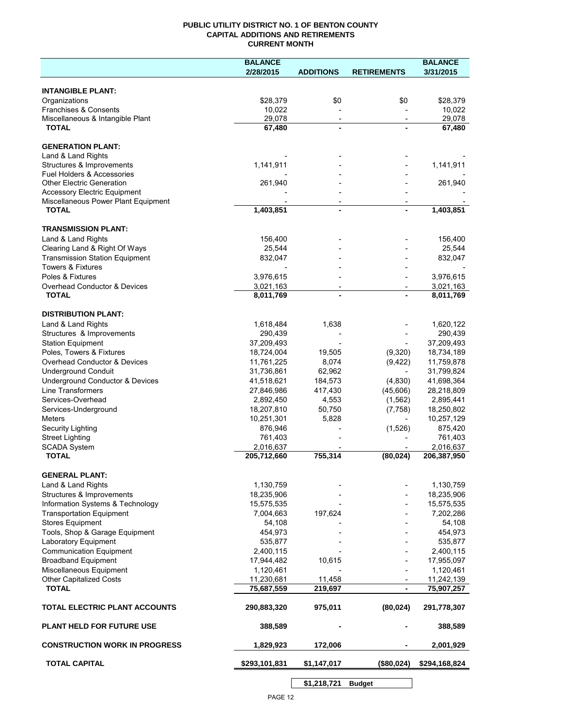# **PUBLIC UTILITY DISTRICT NO. 1 OF BENTON COUNTY CAPITAL ADDITIONS AND RETIREMENTS CURRENT MONTH**

|                                                                       | <b>BALANCE</b>          |                                            |                          | <b>BALANCE</b>          |
|-----------------------------------------------------------------------|-------------------------|--------------------------------------------|--------------------------|-------------------------|
|                                                                       | 2/28/2015               | <b>ADDITIONS</b>                           | <b>RETIREMENTS</b>       | 3/31/2015               |
| <b>INTANGIBLE PLANT:</b>                                              |                         |                                            |                          |                         |
| Organizations                                                         | \$28,379                | \$0                                        | \$0                      | \$28,379                |
| Franchises & Consents                                                 | 10,022                  |                                            |                          | 10,022                  |
| Miscellaneous & Intangible Plant                                      | 29,078                  | $\overline{\phantom{a}}$                   | $\overline{\phantom{a}}$ | 29,078                  |
| <b>TOTAL</b>                                                          | 67,480                  | $\blacksquare$                             |                          | 67,480                  |
| <b>GENERATION PLANT:</b>                                              |                         |                                            |                          |                         |
| Land & Land Rights                                                    |                         |                                            |                          |                         |
| Structures & Improvements                                             | 1,141,911               |                                            |                          | 1,141,911               |
| <b>Fuel Holders &amp; Accessories</b>                                 |                         |                                            |                          |                         |
| <b>Other Electric Generation</b>                                      | 261,940                 |                                            |                          | 261,940                 |
| <b>Accessory Electric Equipment</b>                                   |                         |                                            |                          |                         |
| Miscellaneous Power Plant Equipment<br><b>TOTAL</b>                   | 1,403,851               | $\overline{\phantom{a}}$<br>$\blacksquare$ |                          | $\overline{1,}403,851$  |
|                                                                       |                         |                                            |                          |                         |
| <b>TRANSMISSION PLANT:</b>                                            |                         |                                            |                          |                         |
| Land & Land Rights                                                    | 156,400                 |                                            |                          | 156,400                 |
| Clearing Land & Right Of Ways                                         | 25,544                  |                                            |                          | 25,544                  |
| <b>Transmission Station Equipment</b><br><b>Towers &amp; Fixtures</b> | 832,047                 |                                            |                          | 832,047                 |
| Poles & Fixtures                                                      | 3,976,615               |                                            |                          | 3,976,615               |
| Overhead Conductor & Devices                                          | 3,021,163               |                                            |                          | 3,021,163               |
| <b>TOTAL</b>                                                          | 8,011,769               |                                            |                          | 8,011,769               |
|                                                                       |                         |                                            |                          |                         |
| <b>DISTRIBUTION PLANT:</b>                                            |                         |                                            |                          |                         |
| Land & Land Rights                                                    | 1,618,484               | 1,638                                      |                          | 1,620,122               |
| Structures & Improvements<br><b>Station Equipment</b>                 | 290,439<br>37,209,493   |                                            |                          | 290,439<br>37,209,493   |
| Poles, Towers & Fixtures                                              | 18,724,004              | 19,505                                     | (9,320)                  | 18,734,189              |
| Overhead Conductor & Devices                                          | 11,761,225              | 8,074                                      | (9, 422)                 | 11,759,878              |
| <b>Underground Conduit</b>                                            | 31,736,861              | 62,962                                     |                          | 31,799,824              |
| Underground Conductor & Devices                                       | 41,518,621              | 184,573                                    | (4,830)                  | 41,698,364              |
| <b>Line Transformers</b>                                              | 27,846,986              | 417,430                                    | (45,606)                 | 28,218,809              |
| Services-Overhead                                                     | 2,892,450               | 4,553                                      | (1, 562)                 | 2,895,441               |
| Services-Underground                                                  | 18,207,810              | 50,750                                     | (7, 758)                 | 18,250,802              |
| <b>Meters</b>                                                         | 10,251,301              | 5,828                                      |                          | 10,257,129              |
| Security Lighting                                                     | 876,946                 |                                            | (1,526)                  | 875,420                 |
| <b>Street Lighting</b><br><b>SCADA System</b>                         | 761,403<br>2,016,637    |                                            |                          | 761,403<br>2,016,637    |
| <b>TOTAL</b>                                                          | 205,712,660             | 755,314                                    | (80, 024)                | 206,387,950             |
|                                                                       |                         |                                            |                          |                         |
| <b>GENERAL PLANT:</b>                                                 |                         |                                            |                          |                         |
| Land & Land Rights                                                    | 1,130,759               |                                            |                          | 1,130,759               |
| Structures & Improvements                                             | 18,235,906              |                                            |                          | 18,235,906              |
| Information Systems & Technology<br><b>Transportation Equipment</b>   | 15,575,535<br>7,004,663 | 197,624                                    |                          | 15,575,535<br>7,202,286 |
| <b>Stores Equipment</b>                                               | 54,108                  |                                            |                          | 54,108                  |
| Tools, Shop & Garage Equipment                                        | 454,973                 |                                            |                          | 454,973                 |
| Laboratory Equipment                                                  | 535,877                 |                                            |                          | 535,877                 |
| <b>Communication Equipment</b>                                        | 2,400,115               |                                            |                          | 2,400,115               |
| <b>Broadband Equipment</b>                                            | 17,944,482              | 10,615                                     |                          | 17,955,097              |
| Miscellaneous Equipment                                               | 1,120,461               |                                            |                          | 1,120,461               |
| <b>Other Capitalized Costs</b>                                        | 11,230,681              | 11,458                                     |                          | 11,242,139              |
| <b>TOTAL</b>                                                          | 75,687,559              | 219,697                                    | $\overline{\phantom{a}}$ | 75,907,257              |
| TOTAL ELECTRIC PLANT ACCOUNTS                                         | 290,883,320             | 975,011                                    | (80, 024)                | 291,778,307             |
| <b>PLANT HELD FOR FUTURE USE</b>                                      | 388,589                 |                                            |                          | 388,589                 |
| <b>CONSTRUCTION WORK IN PROGRESS</b>                                  | 1,829,923               | 172,006                                    |                          | 2,001,929               |
| <b>TOTAL CAPITAL</b>                                                  | \$293,101,831           | \$1,147,017                                | (\$80,024)               | \$294,168,824           |
|                                                                       |                         |                                            |                          |                         |

**\$1,218,721 Budget**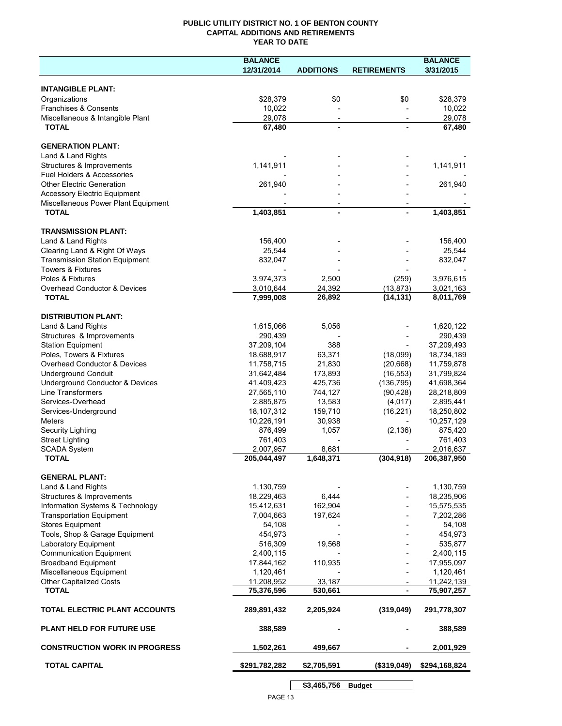# **PUBLIC UTILITY DISTRICT NO. 1 OF BENTON COUNTY CAPITAL ADDITIONS AND RETIREMENTS YEAR TO DATE**

|                                                     | <b>BALANCE</b> |                          |                          | <b>BALANCE</b> |
|-----------------------------------------------------|----------------|--------------------------|--------------------------|----------------|
|                                                     | 12/31/2014     | <b>ADDITIONS</b>         | <b>RETIREMENTS</b>       | 3/31/2015      |
|                                                     |                |                          |                          |                |
| <b>INTANGIBLE PLANT:</b>                            |                |                          |                          |                |
| Organizations                                       | \$28,379       | \$0                      | \$0                      | \$28,379       |
| Franchises & Consents                               | 10,022         |                          |                          | 10,022         |
| Miscellaneous & Intangible Plant                    | 29,078         | $\overline{\phantom{a}}$ | $\overline{\phantom{a}}$ | 29,078         |
| <b>TOTAL</b>                                        | 67,480         |                          |                          | 67,480         |
|                                                     |                |                          |                          |                |
| <b>GENERATION PLANT:</b>                            |                |                          |                          |                |
| Land & Land Rights                                  |                |                          |                          |                |
| Structures & Improvements                           | 1,141,911      |                          |                          | 1,141,911      |
| Fuel Holders & Accessories                          |                |                          |                          |                |
| <b>Other Electric Generation</b>                    | 261,940        |                          |                          | 261,940        |
| <b>Accessory Electric Equipment</b>                 |                |                          |                          |                |
| Miscellaneous Power Plant Equipment<br><b>TOTAL</b> | 1,403,851      |                          |                          | 1,403,851      |
|                                                     |                |                          |                          |                |
| <b>TRANSMISSION PLANT:</b>                          |                |                          |                          |                |
| Land & Land Rights                                  | 156,400        |                          |                          | 156,400        |
| Clearing Land & Right Of Ways                       | 25,544         |                          |                          | 25,544         |
| <b>Transmission Station Equipment</b>               | 832,047        |                          |                          | 832,047        |
| <b>Towers &amp; Fixtures</b>                        |                |                          |                          |                |
| Poles & Fixtures                                    | 3,974,373      | 2,500                    | (259)                    | 3,976,615      |
| Overhead Conductor & Devices                        | 3,010,644      | 24,392                   | (13, 873)                | 3,021,163      |
| <b>TOTAL</b>                                        | 7,999,008      | 26,892                   | (14, 131)                | 8,011,769      |
|                                                     |                |                          |                          |                |
| <b>DISTRIBUTION PLANT:</b>                          |                |                          |                          |                |
| Land & Land Rights                                  | 1,615,066      | 5,056                    |                          | 1,620,122      |
| Structures & Improvements                           | 290,439        |                          |                          | 290,439        |
| <b>Station Equipment</b>                            | 37,209,104     | 388                      |                          | 37,209,493     |
| Poles, Towers & Fixtures                            | 18,688,917     | 63,371                   | (18,099)                 | 18,734,189     |
| Overhead Conductor & Devices                        | 11,758,715     | 21,830                   | (20, 668)                | 11,759,878     |
| <b>Underground Conduit</b>                          | 31,642,484     | 173,893                  | (16, 553)                | 31,799,824     |
| Underground Conductor & Devices                     | 41,409,423     | 425,736                  | (136, 795)               | 41,698,364     |
| Line Transformers                                   | 27,565,110     | 744,127                  | (90, 428)                | 28,218,809     |
| Services-Overhead                                   | 2,885,875      | 13,583                   | (4,017)                  | 2,895,441      |
| Services-Underground                                | 18,107,312     | 159,710                  | (16, 221)                | 18,250,802     |
| <b>Meters</b>                                       | 10,226,191     | 30,938                   |                          | 10,257,129     |
| Security Lighting                                   | 876,499        | 1,057                    | (2, 136)                 | 875,420        |
| <b>Street Lighting</b>                              | 761,403        |                          |                          | 761,403        |
| <b>SCADA System</b>                                 | 2,007,957      | 8,681                    |                          | 2,016,637      |
| <b>TOTAL</b>                                        | 205,044,497    | 1,648,371                | (304, 918)               | 206,387,950    |
|                                                     |                |                          |                          |                |
| <b>GENERAL PLANT:</b>                               |                |                          |                          |                |
| Land & Land Rights                                  | 1,130,759      |                          |                          | 1,130,759      |
| Structures & Improvements                           | 18,229,463     | 6,444                    |                          | 18,235,906     |
| Information Systems & Technology                    | 15,412,631     | 162,904                  |                          | 15,575,535     |
| <b>Transportation Equipment</b>                     | 7,004,663      | 197,624                  |                          | 7,202,286      |
| <b>Stores Equipment</b>                             | 54,108         |                          |                          | 54,108         |
| Tools, Shop & Garage Equipment                      | 454,973        |                          |                          | 454,973        |
| Laboratory Equipment                                | 516,309        | 19,568                   |                          | 535,877        |
| <b>Communication Equipment</b>                      | 2,400,115      |                          |                          | 2,400,115      |
| <b>Broadband Equipment</b>                          | 17,844,162     | 110,935                  |                          | 17,955,097     |
| Miscellaneous Equipment                             | 1,120,461      |                          |                          | 1,120,461      |
| Other Capitalized Costs                             | 11,208,952     | 33,187                   |                          | 11,242,139     |
| <b>TOTAL</b>                                        | 75,376,596     | 530,661                  | -                        | 75,907,257     |
| <b>TOTAL ELECTRIC PLANT ACCOUNTS</b>                | 289,891,432    | 2,205,924                | (319,049)                | 291,778,307    |
| <b>PLANT HELD FOR FUTURE USE</b>                    | 388,589        |                          |                          | 388,589        |
|                                                     |                |                          |                          |                |
| <b>CONSTRUCTION WORK IN PROGRESS</b>                | 1,502,261      | 499,667                  |                          | 2,001,929      |
| <b>TOTAL CAPITAL</b>                                | \$291,782,282  | \$2,705,591              | (\$319,049)              | \$294,168,824  |
|                                                     |                | \$3,465,756              | <b>Budget</b>            |                |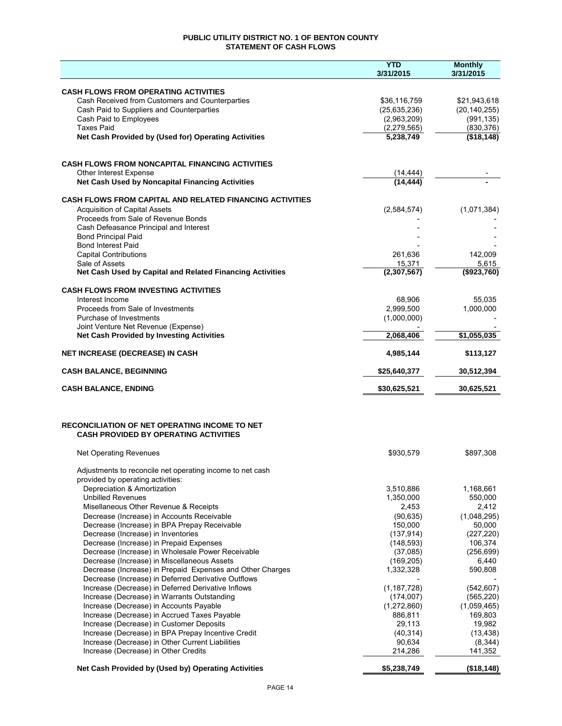# **PUBLIC UTILITY DISTRICT NO. 1 OF BENTON COUNTY STATEMENT OF CASH FLOWS**

|                                                                                                      | <b>YTD</b><br>3/31/2015    | <b>Monthly</b><br>3/31/2015 |
|------------------------------------------------------------------------------------------------------|----------------------------|-----------------------------|
| <b>CASH FLOWS FROM OPERATING ACTIVITIES</b>                                                          |                            |                             |
| Cash Received from Customers and Counterparties                                                      | \$36,116,759               | \$21,943,618                |
| Cash Paid to Suppliers and Counterparties                                                            | (25, 635, 236)             | (20, 140, 255)              |
| Cash Paid to Employees                                                                               | (2,963,209)                | (991, 135)                  |
| <b>Taxes Paid</b>                                                                                    | (2, 279, 565)<br>5,238,749 | (830, 376)                  |
| Net Cash Provided by (Used for) Operating Activities                                                 |                            | (\$18,148)                  |
| <b>CASH FLOWS FROM NONCAPITAL FINANCING ACTIVITIES</b>                                               |                            |                             |
| Other Interest Expense<br>Net Cash Used by Noncapital Financing Activities                           | (14, 444)<br>(14, 444)     |                             |
| <b>CASH FLOWS FROM CAPITAL AND RELATED FINANCING ACTIVITIES</b>                                      |                            |                             |
| <b>Acquisition of Capital Assets</b>                                                                 | (2,584,574)                | (1,071,384)                 |
| Proceeds from Sale of Revenue Bonds                                                                  |                            |                             |
| Cash Defeasance Principal and Interest                                                               |                            |                             |
| <b>Bond Principal Paid</b><br><b>Bond Interest Paid</b>                                              |                            |                             |
| <b>Capital Contributions</b>                                                                         | 261,636                    | 142,009                     |
| Sale of Assets                                                                                       | 15,371                     | 5,615                       |
| Net Cash Used by Capital and Related Financing Activities                                            | (2,307,567)                | (\$923,760)                 |
| <b>CASH FLOWS FROM INVESTING ACTIVITIES</b>                                                          |                            |                             |
| Interest Income                                                                                      | 68,906                     | 55,035                      |
| Proceeds from Sale of Investments<br>Purchase of Investments                                         | 2,999,500<br>(1,000,000)   | 1,000,000                   |
| Joint Venture Net Revenue (Expense)                                                                  |                            |                             |
| <b>Net Cash Provided by Investing Activities</b>                                                     | 2,068,406                  | \$1,055,035                 |
| NET INCREASE (DECREASE) IN CASH                                                                      | 4,985,144                  | \$113,127                   |
| <b>CASH BALANCE, BEGINNING</b>                                                                       | \$25,640,377               | 30,512,394                  |
| <b>CASH BALANCE, ENDING</b>                                                                          | \$30,625,521               | 30,625,521                  |
| <b>RECONCILIATION OF NET OPERATING INCOME TO NET</b><br><b>CASH PROVIDED BY OPERATING ACTIVITIES</b> |                            |                             |
| <b>Net Operating Revenues</b>                                                                        | \$930,579                  | \$897,308                   |
| Adjustments to reconcile net operating income to net cash                                            |                            |                             |
| provided by operating activities:<br>Depreciation & Amortization                                     | 3,510,886                  | 1,168,661                   |
| <b>Unbilled Revenues</b>                                                                             | 1,350,000                  | 550,000                     |
| Misellaneous Other Revenue & Receipts                                                                | 2,453                      | 2,412                       |
| Decrease (Increase) in Accounts Receivable                                                           | (90, 635)                  | (1,048,295)                 |
| Decrease (Increase) in BPA Prepay Receivable                                                         | 150,000                    | 50,000                      |
| Decrease (Increase) in Inventories                                                                   | (137, 914)                 | (227, 220)                  |
| Decrease (Increase) in Prepaid Expenses<br>Decrease (Increase) in Wholesale Power Receivable         | (148, 593)<br>(37,085)     | 106,374<br>(256, 699)       |
| Decrease (Increase) in Miscellaneous Assets                                                          | (169, 205)                 | 6,440                       |
| Decrease (Increase) in Prepaid Expenses and Other Charges                                            | 1,332,328                  | 590,808                     |
| Decrease (Increase) in Deferred Derivative Outflows                                                  |                            |                             |
| Increase (Decrease) in Deferred Derivative Inflows                                                   | (1, 187, 728)              | (542, 607)                  |
| Increase (Decrease) in Warrants Outstanding                                                          | (174,007)                  | (565, 220)                  |
| Increase (Decrease) in Accounts Payable                                                              | (1,272,860)                | (1,059,465)                 |
| Increase (Decrease) in Accrued Taxes Payable<br>Increase (Decrease) in Customer Deposits             | 886,811<br>29,113          | 169,803<br>19,982           |
| Increase (Decrease) in BPA Prepay Incentive Credit                                                   | (40, 314)                  | (13, 438)                   |
| Increase (Decrease) in Other Current Liabilities                                                     | 90,634                     | (8, 344)                    |
| Increase (Decrease) in Other Credits                                                                 | 214,286                    | 141,352                     |
| Net Cash Provided by (Used by) Operating Activities                                                  | \$5,238,749                | (\$18,148)                  |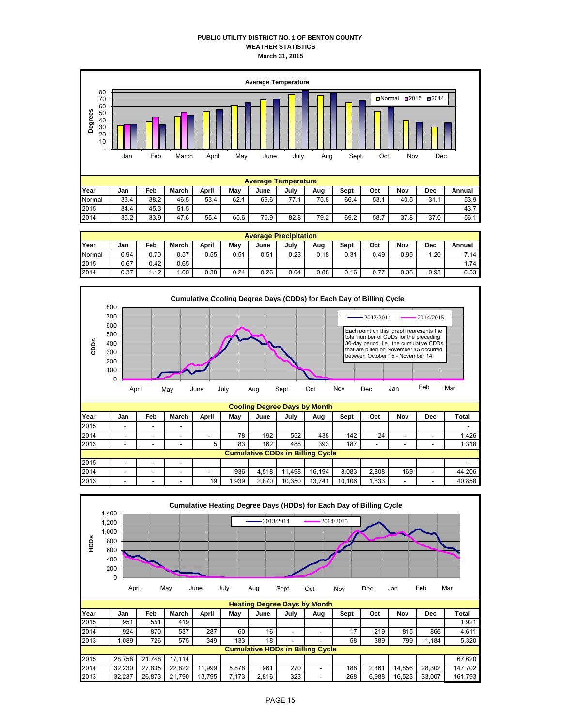# **PUBLIC UTILITY DISTRICT NO. 1 OF BENTON COUNTY WEATHER STATISTICS March 31, 2015**



|        | <b>Average Precipitation</b> |      |       |       |      |      |      |      |      |      |      |      |        |
|--------|------------------------------|------|-------|-------|------|------|------|------|------|------|------|------|--------|
| Year   | Jan                          | Feb  | March | April | May  | June | July | Aug  | Sept | Oct  | Nov  | Dec  | Annual |
| Normal | 0.94                         | 0.70 | 0.57  | 0.55  | 0.51 | 0.51 | 0.23 | 0.18 | 0.31 | 0.49 | 0.95 | 1.20 | 7.14   |
| 2015   | 0.67                         | 0.42 | 0.65  |       |      |      |      |      |      |      |      |      | 1.74   |
| 2014   | 0.37                         | .12  | .00.  | 0.38  | 0.24 | 0.26 | 0.04 | 0.88 | 0.16 | 0.77 | 0.38 | 0.93 | 6.53   |



|      |                                         |  |   | . . |      |       | . .    | _      |        |                          |     |  |        |
|------|-----------------------------------------|--|---|-----|------|-------|--------|--------|--------|--------------------------|-----|--|--------|
| 2015 | -                                       |  |   |     |      |       |        |        |        |                          |     |  | -      |
| 2014 | $\overline{\phantom{a}}$                |  |   |     | 78   | 192   | 552    | 438    | 142    | 24                       | -   |  | 1,426  |
| 2013 | -                                       |  |   |     | 83   | 162   | 488    | 393    | 187    | $\overline{\phantom{a}}$ |     |  | 1,318  |
|      | <b>Cumulative CDDs in Billing Cycle</b> |  |   |     |      |       |        |        |        |                          |     |  |        |
| 2015 | -                                       |  | - |     |      |       |        |        |        |                          |     |  | -      |
| 2014 | -                                       |  |   |     | 936  | 4.518 | .498   | 16.194 | 8.083  | 2,808                    | 169 |  | 44,206 |
| 2013 | -                                       |  |   | 19  | .939 | 2.870 | 10,350 | 13.741 | 10.106 | .833                     | -   |  | 40,858 |

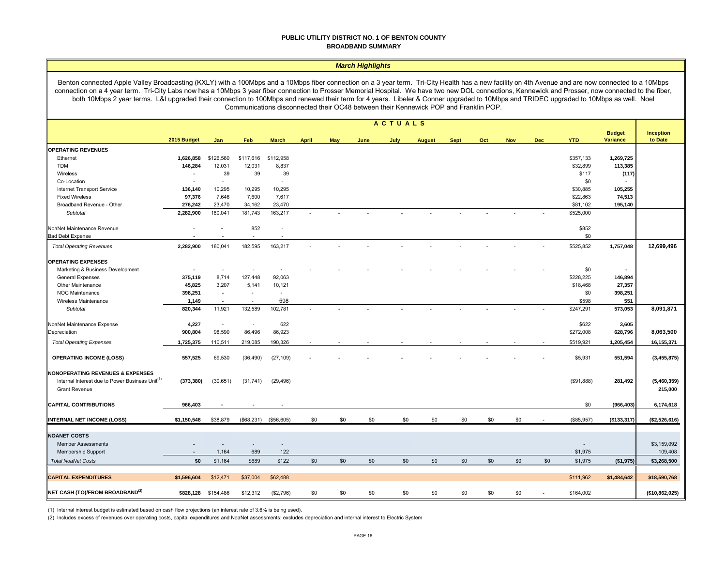#### **PUBLIC UTILITY DISTRICT NO. 1 OF BENTON COUNTY BROADBAND SUMMARY**

#### *March Highlights*

Benton connected Apple Valley Broadcasting (KXLY) with a 100Mbps and a 10Mbps fiber connection on a 3 year term. Tri-City Health has a new facility on 4th Avenue and are now connected to a 10Mbps connection on a 4 year term. Tri-City Labs now has a 10Mbps 3 year fiber connection to Prosser Memorial Hospital. We have two new DOL connections, Kennewick and Prosser, now connected to the fiber, both 10Mbps 2 year terms. L&I upgraded their connection to 100Mbps and renewed their term for 4 years. Libeler & Conner upgraded to 10Mbps and TRIDEC upgraded to 10Mbps as well. Noel Communications disconnected their OC48 between their Kennewick POP and Franklin POP.

|                                                                                                                                    |                          |           |                          |                          |              |     |      | <b>ACTUALS</b> |               |             |     |            |            |            |                                  |                        |
|------------------------------------------------------------------------------------------------------------------------------------|--------------------------|-----------|--------------------------|--------------------------|--------------|-----|------|----------------|---------------|-------------|-----|------------|------------|------------|----------------------------------|------------------------|
|                                                                                                                                    | 2015 Budget              | Jan       | Feb                      | <b>March</b>             | <b>April</b> | May | June | July           | <b>August</b> | <b>Sept</b> | Oct | <b>Nov</b> | <b>Dec</b> | <b>YTD</b> | <b>Budget</b><br><b>Variance</b> | Inception<br>to Date   |
| <b>OPERATING REVENUES</b>                                                                                                          |                          |           |                          |                          |              |     |      |                |               |             |     |            |            |            |                                  |                        |
| Ethernet                                                                                                                           | 1,626,858                | \$126,560 | \$117,616                | \$112,958                |              |     |      |                |               |             |     |            |            | \$357,133  | 1,269,725                        |                        |
| <b>TDM</b>                                                                                                                         | 146,284                  | 12,031    | 12,031                   | 8,837                    |              |     |      |                |               |             |     |            |            | \$32,899   | 113,385                          |                        |
| Wireless                                                                                                                           | $\overline{\phantom{a}}$ | 39        | 39                       | 39                       |              |     |      |                |               |             |     |            |            | \$117      | (117)                            |                        |
| Co-Location                                                                                                                        | ٠                        |           |                          | $\sim$                   |              |     |      |                |               |             |     |            |            | \$0        |                                  |                        |
| Internet Transport Service                                                                                                         | 136,140                  | 10,295    | 10,295                   | 10,295                   |              |     |      |                |               |             |     |            |            | \$30,885   | 105,255                          |                        |
| <b>Fixed Wireless</b>                                                                                                              | 97,376                   | 7,646     | 7,600                    | 7,617                    |              |     |      |                |               |             |     |            |            | \$22,863   | 74,513                           |                        |
| Broadband Revenue - Other                                                                                                          | 276,242                  | 23,470    | 34,162                   | 23,470                   |              |     |      |                |               |             |     |            |            | \$81,102   | 195,140                          |                        |
| Subtotal                                                                                                                           | 2,282,900                | 180,041   | 181,743                  | 163,217                  | $\sim$       |     |      |                |               |             |     |            |            | \$525,000  |                                  |                        |
| NoaNet Maintenance Revenue                                                                                                         |                          |           | 852                      |                          |              |     |      |                |               |             |     |            |            | \$852      |                                  |                        |
| <b>Bad Debt Expense</b>                                                                                                            |                          |           | $\sim$                   | $\overline{\phantom{a}}$ |              |     |      |                |               |             |     |            |            | \$0        |                                  |                        |
| <b>Total Operating Revenues</b>                                                                                                    | 2,282,900                | 180,041   | 182,595                  | 163,217                  |              |     |      |                |               |             |     |            |            | \$525,852  | 1,757,048                        | 12,699,496             |
| <b>OPERATING EXPENSES</b>                                                                                                          |                          |           |                          |                          |              |     |      |                |               |             |     |            |            |            |                                  |                        |
| Marketing & Business Development                                                                                                   |                          | $\sim$    | ٠                        |                          |              |     |      |                |               |             |     |            |            | \$0        |                                  |                        |
| <b>General Expenses</b>                                                                                                            | 375,119                  | 8,714     | 127,448                  | 92,063                   |              |     |      |                |               |             |     |            |            | \$228,225  | 146,894                          |                        |
| Other Maintenance                                                                                                                  | 45,825                   | 3,207     | 5,141                    | 10,121                   |              |     |      |                |               |             |     |            |            | \$18,468   | 27,357                           |                        |
| <b>NOC Maintenance</b>                                                                                                             | 398,251                  | $\sim$    | $\sim$                   | $\sim$                   |              |     |      |                |               |             |     |            |            | \$0        | 398,251                          |                        |
| Wireless Maintenance                                                                                                               | 1,149                    |           | $\overline{\phantom{a}}$ | 598                      |              |     |      |                |               |             |     |            |            | \$598      | 551                              |                        |
| <b>Subtotal</b>                                                                                                                    | 820,344                  | 11,921    | 132,589                  | 102,781                  |              |     |      |                |               |             |     |            |            | \$247,291  | 573,053                          | 8,091,871              |
| NoaNet Maintenance Expense                                                                                                         | 4,227                    | $\sim$    | $\sim$                   | 622                      |              |     |      |                |               |             |     |            |            | \$622      | 3,605                            |                        |
| Depreciation                                                                                                                       | 900,804                  | 98,590    | 86,496                   | 86,923                   |              |     |      |                |               |             |     |            |            | \$272,008  | 628,796                          | 8,063,500              |
| <b>Total Operating Expenses</b>                                                                                                    | 1,725,375                | 110,511   | 219,085                  | 190,326                  |              |     |      |                |               |             |     |            |            | \$519,921  | 1,205,454                        | 16,155,371             |
| <b>OPERATING INCOME (LOSS)</b>                                                                                                     | 557,525                  | 69,530    | (36, 490)                | (27, 109)                |              |     |      |                |               |             |     |            |            | \$5,931    | 551,594                          | (3,455,875)            |
| <b>NONOPERATING REVENUES &amp; EXPENSES</b><br>Internal Interest due to Power Business Unit <sup>(1)</sup><br><b>Grant Revenue</b> | (373, 380)               | (30,651)  | (31, 741)                | (29, 496)                |              |     |      |                |               |             |     |            |            | (\$91,888) | 281,492                          | (5,460,359)<br>215,000 |
| <b>CAPITAL CONTRIBUTIONS</b>                                                                                                       | 966,403                  |           |                          |                          |              |     |      |                |               |             |     |            |            | \$0        | (966, 403)                       | 6,174,618              |
| <b>INTERNAL NET INCOME (LOSS)</b>                                                                                                  | \$1,150,548              | \$38,879  | (\$68,231)               | (\$56,605)               | \$0          | \$0 | \$0  | \$0            | \$0           | \$0         | \$0 | \$0        |            | (\$85,957) | (\$133,317)                      | (\$2,526,616)          |
|                                                                                                                                    |                          |           |                          |                          |              |     |      |                |               |             |     |            |            |            |                                  |                        |
| <b>NOANET COSTS</b>                                                                                                                |                          |           |                          |                          |              |     |      |                |               |             |     |            |            |            |                                  |                        |
| <b>Member Assessments</b>                                                                                                          |                          |           | $\overline{\phantom{a}}$ |                          |              |     |      |                |               |             |     |            |            | $\sim$     |                                  | \$3,159,092            |
| Membership Support                                                                                                                 |                          | 1,164     | 689                      | 122                      |              |     |      |                |               |             |     |            |            | \$1,975    |                                  | 109,408                |
| <b>Total NoaNet Costs</b>                                                                                                          | \$0                      | \$1,164   | \$689                    | \$122                    | \$0          | \$0 | \$0  | \$0            | \$0           | \$0         | \$0 | \$0        | \$0        | \$1,975    | (\$1,975)                        | \$3,268,500            |
| <b>CAPITAL EXPENDITURES</b>                                                                                                        | \$1,596,604              | \$12,471  | \$37,004                 | \$62,488                 |              |     |      |                |               |             |     |            |            | \$111,962  | \$1,484,642                      | \$18,590,768           |
| <b>INET CASH (TO)/FROM BROADBAND<sup>(2)</sup></b>                                                                                 | \$828,128                | \$154,486 | \$12,312                 | (\$2,796)                | \$0          | \$0 | \$0  | \$0            | \$0           | \$0         | \$0 | \$0        |            | \$164,002  |                                  | (\$10,862,025)         |

(1) Internal interest budget is estimated based on cash flow projections (an interest rate of 3.6% is being used).

(2) Includes excess of revenues over operating costs, capital expenditures and NoaNet assessments; excludes depreciation and internal interest to Electric System